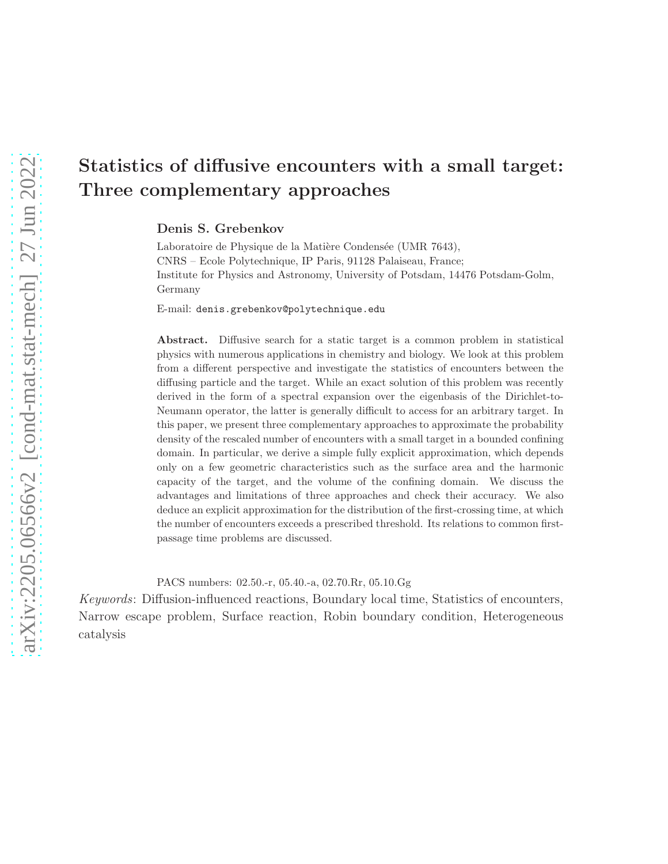# Statistics of diffusive encounters with a small target: Three complementary approaches

#### Denis S. Grebenkov

Laboratoire de Physique de la Matière Condensée (UMR 7643), CNRS – Ecole Polytechnique, IP Paris, 91128 Palaiseau, France; Institute for Physics and Astronomy, University of Potsdam, 14476 Potsdam-Golm, Germany

E-mail: denis.grebenkov@polytechnique.edu

Abstract. Diffusive search for a static target is a common problem in statistical physics with numerous applications in chemistry and biology. We look at this problem from a different perspective and investigate the statistics of encounters between the diffusing particle and the target. While an exact solution of this problem was recently derived in the form of a spectral expansion over the eigenbasis of the Dirichlet-to-Neumann operator, the latter is generally difficult to access for an arbitrary target. In this paper, we present three complementary approaches to approximate the probability density of the rescaled number of encounters with a small target in a bounded confining domain. In particular, we derive a simple fully explicit approximation, which depends only on a few geometric characteristics such as the surface area and the harmonic capacity of the target, and the volume of the confining domain. We discuss the advantages and limitations of three approaches and check their accuracy. We also deduce an explicit approximation for the distribution of the first-crossing time, at which the number of encounters exceeds a prescribed threshold. Its relations to common firstpassage time problems are discussed.

PACS numbers: 02.50.-r, 05.40.-a, 02.70.Rr, 05.10.Gg

Keywords: Diffusion-influenced reactions, Boundary local time, Statistics of encounters, Narrow escape problem, Surface reaction, Robin boundary condition, Heterogeneous catalysis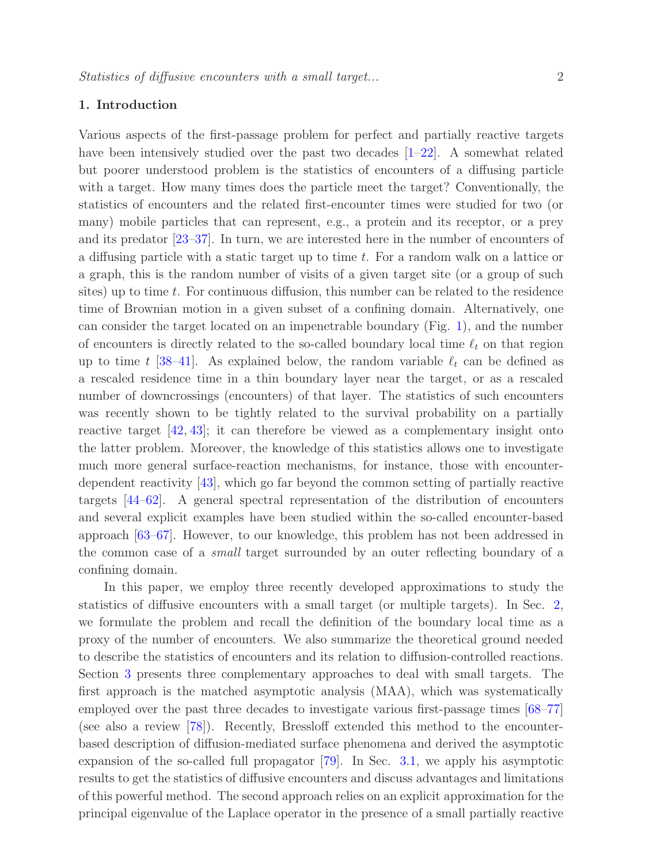# 1. Introduction

Various aspects of the first-passage problem for perfect and partially reactive targets have been intensively studied over the past two decades  $[1–22]$  $[1–22]$ . A somewhat related but poorer understood problem is the statistics of encounters of a diffusing particle with a target. How many times does the particle meet the target? Conventionally, the statistics of encounters and the related first-encounter times were studied for two (or many) mobile particles that can represent, e.g., a protein and its receptor, or a prey and its predator [\[23–](#page-29-2)[37\]](#page-30-0). In turn, we are interested here in the number of encounters of a diffusing particle with a static target up to time t. For a random walk on a lattice or a graph, this is the random number of visits of a given target site (or a group of such sites) up to time  $t$ . For continuous diffusion, this number can be related to the residence time of Brownian motion in a given subset of a confining domain. Alternatively, one can consider the target located on an impenetrable boundary (Fig. [1\)](#page-2-0), and the number of encounters is directly related to the so-called boundary local time  $\ell_t$  on that region up to time t [\[38–](#page-30-1)[41\]](#page-30-2). As explained below, the random variable  $\ell_t$  can be defined as a rescaled residence time in a thin boundary layer near the target, or as a rescaled number of downcrossings (encounters) of that layer. The statistics of such encounters was recently shown to be tightly related to the survival probability on a partially reactive target [\[42,](#page-30-3) [43\]](#page-30-4); it can therefore be viewed as a complementary insight onto the latter problem. Moreover, the knowledge of this statistics allows one to investigate much more general surface-reaction mechanisms, for instance, those with encounterdependent reactivity [\[43\]](#page-30-4), which go far beyond the common setting of partially reactive targets [\[44–](#page-30-5)[62\]](#page-31-0). A general spectral representation of the distribution of encounters and several explicit examples have been studied within the so-called encounter-based approach [\[63–](#page-31-1)[67\]](#page-31-2). However, to our knowledge, this problem has not been addressed in the common case of a small target surrounded by an outer reflecting boundary of a confining domain.

In this paper, we employ three recently developed approximations to study the statistics of diffusive encounters with a small target (or multiple targets). In Sec. [2,](#page-2-1) we formulate the problem and recall the definition of the boundary local time as a proxy of the number of encounters. We also summarize the theoretical ground needed to describe the statistics of encounters and its relation to diffusion-controlled reactions. Section [3](#page-8-0) presents three complementary approaches to deal with small targets. The first approach is the matched asymptotic analysis (MAA), which was systematically employed over the past three decades to investigate various first-passage times [\[68–](#page-31-3)[77\]](#page-32-0) (see also a review [\[78\]](#page-32-1)). Recently, Bressloff extended this method to the encounterbased description of diffusion-mediated surface phenomena and derived the asymptotic expansion of the so-called full propagator [\[79\]](#page-32-2). In Sec. [3.1,](#page-8-1) we apply his asymptotic results to get the statistics of diffusive encounters and discuss advantages and limitations of this powerful method. The second approach relies on an explicit approximation for the principal eigenvalue of the Laplace operator in the presence of a small partially reactive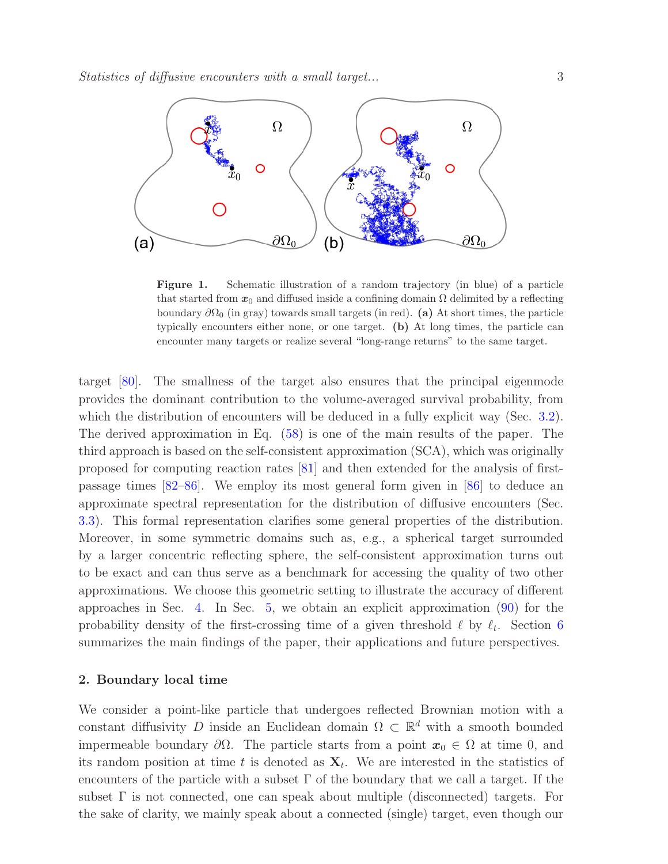

<span id="page-2-0"></span>Figure 1. Schematic illustration of a random trajectory (in blue) of a particle that started from  $x_0$  and diffused inside a confining domain  $\Omega$  delimited by a reflecting boundary  $\partial\Omega_0$  (in gray) towards small targets (in red). (a) At short times, the particle typically encounters either none, or one target. (b) At long times, the particle can encounter many targets or realize several "long-range returns" to the same target.

target [\[80\]](#page-32-3). The smallness of the target also ensures that the principal eigenmode provides the dominant contribution to the volume-averaged survival probability, from which the distribution of encounters will be deduced in a fully explicit way (Sec. [3.2\)](#page-12-0). The derived approximation in Eq. [\(58\)](#page-13-0) is one of the main results of the paper. The third approach is based on the self-consistent approximation (SCA), which was originally proposed for computing reaction rates [\[81\]](#page-32-4) and then extended for the analysis of firstpassage times [\[82](#page-32-5)[–86\]](#page-32-6). We employ its most general form given in [\[86\]](#page-32-6) to deduce an approximate spectral representation for the distribution of diffusive encounters (Sec. [3.3\)](#page-14-0). This formal representation clarifies some general properties of the distribution. Moreover, in some symmetric domains such as, e.g., a spherical target surrounded by a larger concentric reflecting sphere, the self-consistent approximation turns out to be exact and can thus serve as a benchmark for accessing the quality of two other approximations. We choose this geometric setting to illustrate the accuracy of different approaches in Sec. [4.](#page-16-0) In Sec. [5,](#page-21-0) we obtain an explicit approximation [\(90\)](#page-21-1) for the probability density of the first-crossing time of a given threshold  $\ell$  by  $\ell_t$ . Section [6](#page-23-0) summarizes the main findings of the paper, their applications and future perspectives.

#### <span id="page-2-1"></span>2. Boundary local time

We consider a point-like particle that undergoes reflected Brownian motion with a constant diffusivity D inside an Euclidean domain  $\Omega \subset \mathbb{R}^d$  with a smooth bounded impermeable boundary  $\partial\Omega$ . The particle starts from a point  $x_0 \in \Omega$  at time 0, and its random position at time t is denoted as  $X_t$ . We are interested in the statistics of encounters of the particle with a subset  $\Gamma$  of the boundary that we call a target. If the subset  $\Gamma$  is not connected, one can speak about multiple (disconnected) targets. For the sake of clarity, we mainly speak about a connected (single) target, even though our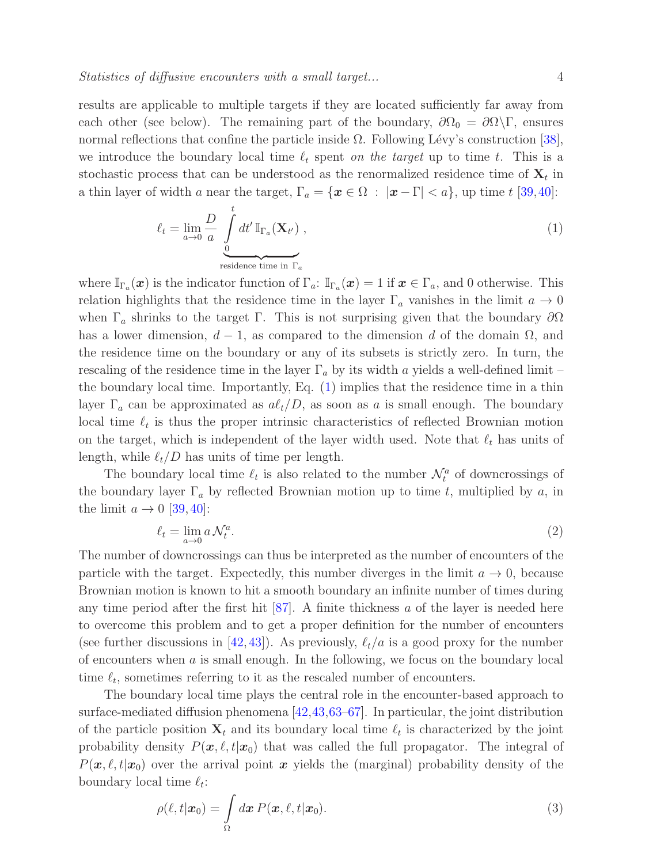<span id="page-3-0"></span>

results are applicable to multiple targets if they are located sufficiently far away from each other (see below). The remaining part of the boundary,  $\partial\Omega_0 = \partial\Omega\backslash\Gamma$ , ensures normal reflections that confine the particle inside  $\Omega$ . Following Lévy's construction [\[38\]](#page-30-1), we introduce the boundary local time  $\ell_t$  spent on the target up to time t. This is a stochastic process that can be understood as the renormalized residence time of  $\mathbf{X}_t$  in a thin layer of width a near the target,  $\Gamma_a = \{x \in \Omega : |x - \Gamma| < a\}$ , up time t [\[39,](#page-30-6)[40\]](#page-30-7):

$$
\ell_t = \lim_{a \to 0} \frac{D}{a} \int_{\text{residence time in } \Gamma_a}^t dt' \mathbb{I}_{\Gamma_a}(\mathbf{X}_{t'}) ,
$$
\n(1)

where  $\mathbb{I}_{\Gamma_a}(\boldsymbol{x})$  is the indicator function of  $\Gamma_a: \mathbb{I}_{\Gamma_a}(\boldsymbol{x}) = 1$  if  $\boldsymbol{x} \in \Gamma_a$ , and 0 otherwise. This relation highlights that the residence time in the layer  $\Gamma_a$  vanishes in the limit  $a \to 0$ when  $\Gamma_a$  shrinks to the target Γ. This is not surprising given that the boundary  $\partial\Omega$ has a lower dimension,  $d-1$ , as compared to the dimension d of the domain  $\Omega$ , and the residence time on the boundary or any of its subsets is strictly zero. In turn, the rescaling of the residence time in the layer  $\Gamma_a$  by its width a yields a well-defined limit – the boundary local time. Importantly, Eq.  $(1)$  implies that the residence time in a thin layer  $\Gamma_a$  can be approximated as  $a\ell_t/D$ , as soon as a is small enough. The boundary local time  $\ell_t$  is thus the proper intrinsic characteristics of reflected Brownian motion on the target, which is independent of the layer width used. Note that  $\ell_t$  has units of length, while  $\ell_t/D$  has units of time per length.

The boundary local time  $\ell_t$  is also related to the number  $\mathcal{N}_t^a$  of downcrossings of the boundary layer  $\Gamma_a$  by reflected Brownian motion up to time t, multiplied by a, in the limit  $a \rightarrow 0$  [\[39,](#page-30-6) [40\]](#page-30-7):

$$
\ell_t = \lim_{a \to 0} a \mathcal{N}_t^a. \tag{2}
$$

The number of downcrossings can thus be interpreted as the number of encounters of the particle with the target. Expectedly, this number diverges in the limit  $a \to 0$ , because Brownian motion is known to hit a smooth boundary an infinite number of times during any time period after the first hit  $[87]$ . A finite thickness a of the layer is needed here to overcome this problem and to get a proper definition for the number of encounters (see further discussions in [\[42,](#page-30-3) [43\]](#page-30-4)). As previously,  $\ell_t/a$  is a good proxy for the number of encounters when a is small enough. In the following, we focus on the boundary local time  $\ell_t$ , sometimes referring to it as the rescaled number of encounters.

The boundary local time plays the central role in the encounter-based approach to surface-mediated diffusion phenomena [\[42](#page-30-3)[,43,](#page-30-4)[63](#page-31-1)[–67\]](#page-31-2). In particular, the joint distribution of the particle position  $\mathbf{X}_t$  and its boundary local time  $\ell_t$  is characterized by the joint probability density  $P(x, \ell, t|x_0)$  that was called the full propagator. The integral of  $P(x, \ell, t|x_0)$  over the arrival point x yields the (marginal) probability density of the boundary local time  $\ell_t$ :

<span id="page-3-1"></span>
$$
\rho(\ell, t | \boldsymbol{x}_0) = \int_{\Omega} d\boldsymbol{x} \, P(\boldsymbol{x}, \ell, t | \boldsymbol{x}_0). \tag{3}
$$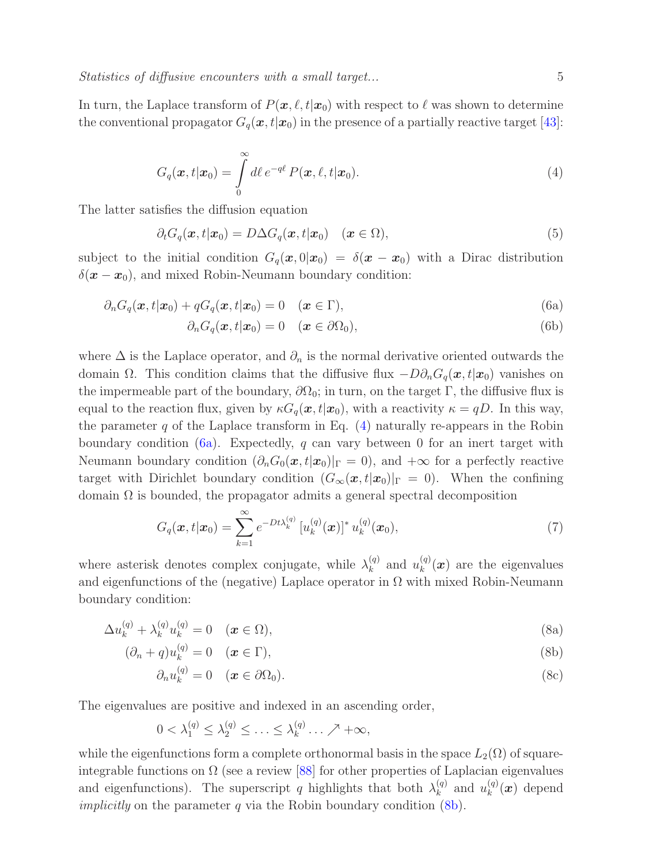<span id="page-4-0"></span>In turn, the Laplace transform of  $P(x, \ell, t|x_0)$  with respect to  $\ell$  was shown to determine the conventional propagator  $G_q(\mathbf{x}, t|\mathbf{x}_0)$  in the presence of a partially reactive target [\[43\]](#page-30-4):

$$
G_q(\boldsymbol{x},t|\boldsymbol{x}_0) = \int\limits_0^\infty d\ell \, e^{-q\ell} \, P(\boldsymbol{x},\ell,t|\boldsymbol{x}_0). \tag{4}
$$

The latter satisfies the diffusion equation

<span id="page-4-4"></span>
$$
\partial_t G_q(\boldsymbol{x}, t | \boldsymbol{x}_0) = D \Delta G_q(\boldsymbol{x}, t | \boldsymbol{x}_0) \quad (\boldsymbol{x} \in \Omega), \tag{5}
$$

subject to the initial condition  $G_q(x,0|x_0) = \delta(x-x_0)$  with a Dirac distribution  $\delta(\mathbf{x}-\mathbf{x}_0)$ , and mixed Robin-Neumann boundary condition:

$$
\partial_n G_q(\boldsymbol{x}, t | \boldsymbol{x}_0) + q G_q(\boldsymbol{x}, t | \boldsymbol{x}_0) = 0 \quad (\boldsymbol{x} \in \Gamma), \tag{6a}
$$

<span id="page-4-5"></span><span id="page-4-1"></span>
$$
\partial_n G_q(\boldsymbol{x}, t | \boldsymbol{x}_0) = 0 \quad (\boldsymbol{x} \in \partial \Omega_0), \tag{6b}
$$

where  $\Delta$  is the Laplace operator, and  $\partial_n$  is the normal derivative oriented outwards the domain  $\Omega$ . This condition claims that the diffusive flux  $-D\partial_nG_q(\bm{x}, t|\bm{x}_0)$  vanishes on the impermeable part of the boundary,  $\partial\Omega_0$ ; in turn, on the target Γ, the diffusive flux is equal to the reaction flux, given by  $\kappa G_q(\mathbf{x}, t|\mathbf{x}_0)$ , with a reactivity  $\kappa = qD$ . In this way, the parameter  $q$  of the Laplace transform in Eq.  $(4)$  naturally re-appears in the Robin boundary condition  $(6a)$ . Expectedly, q can vary between 0 for an inert target with Neumann boundary condition  $(\partial_n G_0(\mathbf{x}, t|\mathbf{x}_0)|_{\Gamma} = 0)$ , and  $+\infty$  for a perfectly reactive target with Dirichlet boundary condition  $(G_{\infty}(x,t|x_0)|_{\Gamma} = 0)$ . When the confining domain  $\Omega$  is bounded, the propagator admits a general spectral decomposition

<span id="page-4-3"></span>
$$
G_q(\boldsymbol{x}, t | \boldsymbol{x}_0) = \sum_{k=1}^{\infty} e^{-Dt\lambda_k^{(q)}} \left[ u_k^{(q)}(\boldsymbol{x}) \right]^* u_k^{(q)}(\boldsymbol{x}_0), \tag{7}
$$

where asterisk denotes complex conjugate, while  $\lambda_k^{(q)}$  $\begin{pmatrix} q \\ k \end{pmatrix}$  and  $u_k^{(q)}$  $\binom{(q)}{k}$  are the eigenvalues and eigenfunctions of the (negative) Laplace operator in  $\Omega$  with mixed Robin-Neumann boundary condition:

$$
\Delta u_k^{(q)} + \lambda_k^{(q)} u_k^{(q)} = 0 \quad (\boldsymbol{x} \in \Omega), \tag{8a}
$$

$$
(\partial_n + q)u_k^{(q)} = 0 \quad (\boldsymbol{x} \in \Gamma), \tag{8b}
$$

$$
\partial_n u_k^{(q)} = 0 \quad (\boldsymbol{x} \in \partial \Omega_0). \tag{8c}
$$

The eigenvalues are positive and indexed in an ascending order,

<span id="page-4-2"></span>
$$
0 < \lambda_1^{(q)} \leq \lambda_2^{(q)} \leq \ldots \leq \lambda_k^{(q)} \ldots \nearrow +\infty,
$$

while the eigenfunctions form a complete orthonormal basis in the space  $L_2(\Omega)$  of squareintegrable functions on  $\Omega$  (see a review [\[88\]](#page-32-8) for other properties of Laplacian eigenvalues and eigenfunctions). The superscript q highlights that both  $\lambda_k^{(q)}$  $\begin{pmatrix} q \\ k \end{pmatrix}$  and  $u_k^{(q)}$  $_{k}^{(q)}(\boldsymbol{x})$  depend *implicitly* on the parameter q via the Robin boundary condition  $(8b)$ .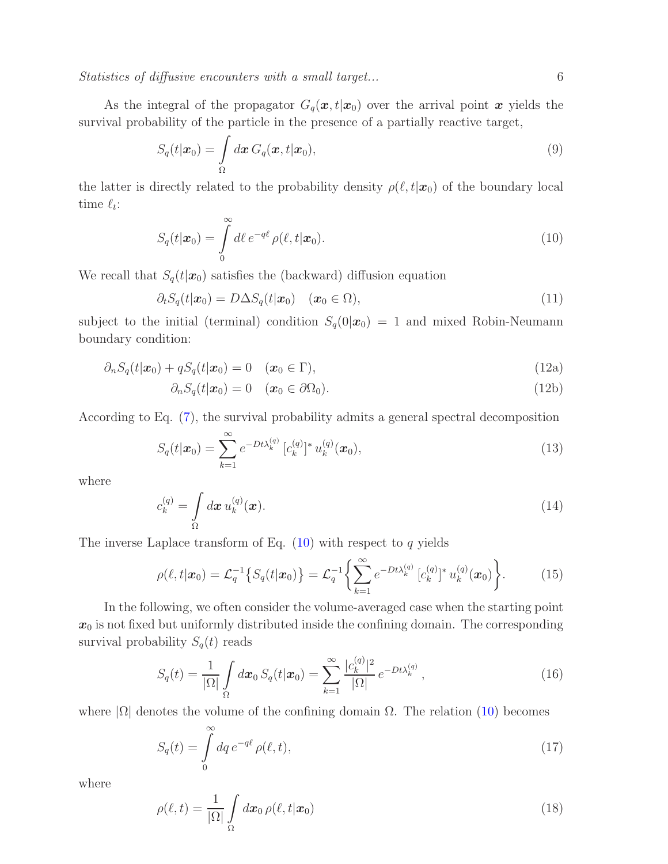Statistics of diffusive encounters with a small target... 6

As the integral of the propagator  $G_q(\mathbf{x}, t|\mathbf{x}_0)$  over the arrival point  $\mathbf{x}$  yields the survival probability of the particle in the presence of a partially reactive target,

$$
S_q(t|\boldsymbol{x}_0) = \int_{\Omega} d\boldsymbol{x} \, G_q(\boldsymbol{x}, t|\boldsymbol{x}_0), \tag{9}
$$

the latter is directly related to the probability density  $\rho(\ell, t|\mathbf{x}_0)$  of the boundary local time  $\ell_t$ :

<span id="page-5-0"></span>
$$
S_q(t|\boldsymbol{x}_0) = \int\limits_0^\infty d\ell \, e^{-q\ell} \, \rho(\ell, t|\boldsymbol{x}_0). \tag{10}
$$

We recall that  $S_q(t|\mathbf{x}_0)$  satisfies the (backward) diffusion equation

$$
\partial_t S_q(t|\boldsymbol{x}_0) = D \Delta S_q(t|\boldsymbol{x}_0) \quad (\boldsymbol{x}_0 \in \Omega), \tag{11}
$$

subject to the initial (terminal) condition  $S_q(0|\mathbf{x}_0) = 1$  and mixed Robin-Neumann boundary condition:

$$
\partial_n S_q(t|\boldsymbol{x}_0) + qS_q(t|\boldsymbol{x}_0) = 0 \quad (\boldsymbol{x}_0 \in \Gamma), \tag{12a}
$$

$$
\partial_n S_q(t|\boldsymbol{x}_0) = 0 \quad (\boldsymbol{x}_0 \in \partial \Omega_0). \tag{12b}
$$

According to Eq. [\(7\)](#page-4-3), the survival probability admits a general spectral decomposition

$$
S_q(t|\boldsymbol{x}_0) = \sum_{k=1}^{\infty} e^{-Dt\lambda_k^{(q)}} \left[c_k^{(q)}\right]^* u_k^{(q)}(\boldsymbol{x}_0), \tag{13}
$$

<span id="page-5-3"></span>where

$$
c_k^{(q)} = \int\limits_{\Omega} d\boldsymbol{x} \, u_k^{(q)}(\boldsymbol{x}). \tag{14}
$$

The inverse Laplace transform of Eq.  $(10)$  with respect to  $q$  yields

<span id="page-5-1"></span>
$$
\rho(\ell, t | \mathbf{x}_0) = \mathcal{L}_q^{-1} \left\{ S_q(t | \mathbf{x}_0) \right\} = \mathcal{L}_q^{-1} \left\{ \sum_{k=1}^{\infty} e^{-Dt\lambda_k^{(q)}} \left[ c_k^{(q)} \right]^* u_k^{(q)}(\mathbf{x}_0) \right\}.
$$
 (15)

In the following, we often consider the volume-averaged case when the starting point  $x_0$  is not fixed but uniformly distributed inside the confining domain. The corresponding survival probability  $S_q(t)$  reads

<span id="page-5-4"></span><span id="page-5-2"></span>
$$
S_q(t) = \frac{1}{|\Omega|} \int_{\Omega} d\boldsymbol{x}_0 S_q(t|\boldsymbol{x}_0) = \sum_{k=1}^{\infty} \frac{|c_k^{(q)}|^2}{|\Omega|} e^{-Dt\lambda_k^{(q)}}, \qquad (16)
$$

where  $|\Omega|$  denotes the volume of the confining domain  $\Omega$ . The relation [\(10\)](#page-5-0) becomes

$$
S_q(t) = \int\limits_0^\infty dq \, e^{-q\ell} \, \rho(\ell, t),\tag{17}
$$

where

$$
\rho(\ell, t) = \frac{1}{|\Omega|} \int_{\Omega} d\boldsymbol{x}_0 \, \rho(\ell, t | \boldsymbol{x}_0) \tag{18}
$$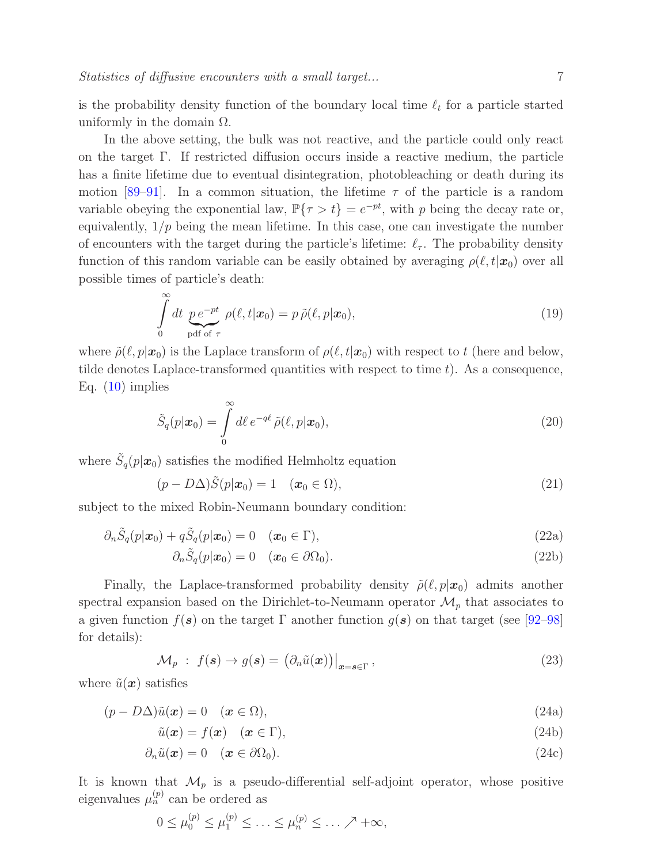is the probability density function of the boundary local time  $\ell_t$  for a particle started uniformly in the domain  $\Omega$ .

In the above setting, the bulk was not reactive, and the particle could only react on the target  $\Gamma$ . If restricted diffusion occurs inside a reactive medium, the particle has a finite lifetime due to eventual disintegration, photobleaching or death during its motion [\[89](#page-32-9)[–91\]](#page-32-10). In a common situation, the lifetime  $\tau$  of the particle is a random variable obeying the exponential law,  $\mathbb{P}\{\tau > t\} = e^{-pt}$ , with p being the decay rate or, equivalently,  $1/p$  being the mean lifetime. In this case, one can investigate the number of encounters with the target during the particle's lifetime:  $\ell_{\tau}$ . The probability density function of this random variable can be easily obtained by averaging  $\rho(\ell, t|\mathbf{x}_0)$  over all possible times of particle's death:

$$
\int_{0}^{\infty} dt \underbrace{p e^{-pt}}_{\text{pdf of } \tau} \rho(\ell, t | \mathbf{x}_0) = p \tilde{\rho}(\ell, p | \mathbf{x}_0), \tag{19}
$$

where  $\tilde{\rho}(\ell, p|\mathbf{x}_0)$  is the Laplace transform of  $\rho(\ell, t|\mathbf{x}_0)$  with respect to t (here and below, tilde denotes Laplace-transformed quantities with respect to time  $t$ ). As a consequence, Eq.  $(10)$  implies

$$
\tilde{S}_q(p|\boldsymbol{x}_0) = \int\limits_0^\infty d\ell \, e^{-q\ell} \, \tilde{\rho}(\ell, p|\boldsymbol{x}_0),\tag{20}
$$

where  $\tilde{S}_q(p|\mathbf{x}_0)$  satisfies the modified Helmholtz equation

<span id="page-6-1"></span>
$$
(p - D\Delta)\tilde{S}(p|\boldsymbol{x}_0) = 1 \quad (\boldsymbol{x}_0 \in \Omega), \tag{21}
$$

subject to the mixed Robin-Neumann boundary condition:

$$
\partial_n \tilde{S}_q(p|\boldsymbol{x}_0) + q \tilde{S}_q(p|\boldsymbol{x}_0) = 0 \quad (\boldsymbol{x}_0 \in \Gamma), \tag{22a}
$$

$$
\partial_n \tilde{S}_q(p|\boldsymbol{x}_0) = 0 \quad (\boldsymbol{x}_0 \in \partial \Omega_0). \tag{22b}
$$

Finally, the Laplace-transformed probability density  $\tilde{\rho}(\ell, p|\mathbf{x}_0)$  admits another spectral expansion based on the Dirichlet-to-Neumann operator  $\mathcal{M}_p$  that associates to a given function  $f(\mathbf{s})$  on the target  $\Gamma$  another function  $g(\mathbf{s})$  on that target (see [\[92–](#page-32-11)[98\]](#page-32-12) for details):

<span id="page-6-0"></span>
$$
\mathcal{M}_p : f(\mathbf{s}) \to g(\mathbf{s}) = \left. \left( \partial_n \tilde{u}(\mathbf{x}) \right) \right|_{\mathbf{x} = \mathbf{s} \in \Gamma}, \tag{23}
$$

where  $\tilde{u}(\boldsymbol{x})$  satisfies

$$
(p - D\Delta)\tilde{u}(\boldsymbol{x}) = 0 \quad (\boldsymbol{x} \in \Omega), \tag{24a}
$$

$$
\tilde{u}(\boldsymbol{x}) = f(\boldsymbol{x}) \quad (\boldsymbol{x} \in \Gamma), \tag{24b}
$$

$$
\partial_n \tilde{u}(\boldsymbol{x}) = 0 \quad (\boldsymbol{x} \in \partial \Omega_0). \tag{24c}
$$

It is known that  $\mathcal{M}_p$  is a pseudo-differential self-adjoint operator, whose positive eigenvalues  $\mu_n^{(p)}$  can be ordered as

$$
0 \le \mu_0^{(p)} \le \mu_1^{(p)} \le \ldots \le \mu_n^{(p)} \le \ldots \nearrow +\infty,
$$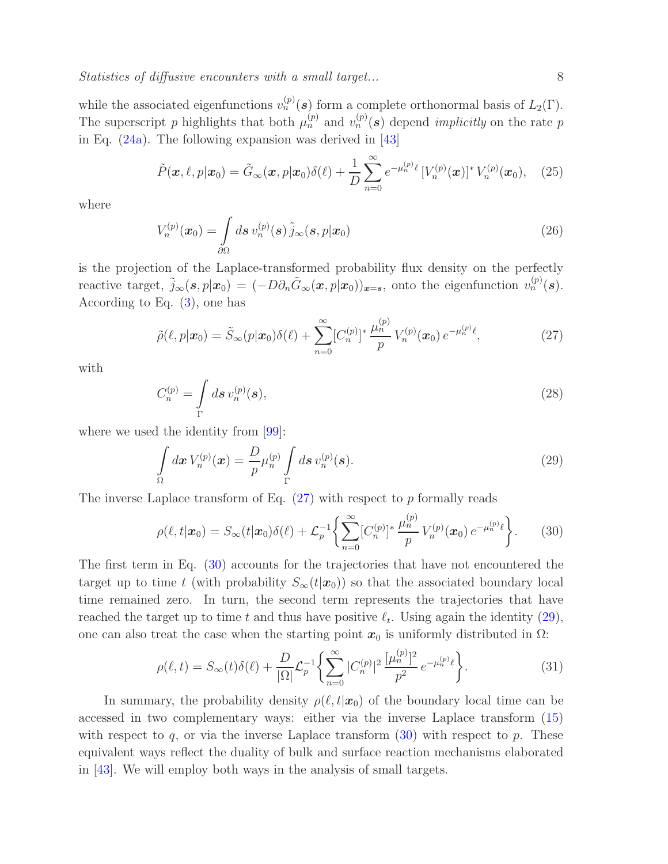while the associated eigenfunctions  $v_n^{(p)}(s)$  form a complete orthonormal basis of  $L_2(\Gamma)$ . The superscript p highlights that both  $\mu_n^{(p)}$  and  $v_n^{(p)}(s)$  depend *implicitly* on the rate p in Eq. [\(24a\)](#page-6-0). The following expansion was derived in [\[43\]](#page-30-4)

$$
\tilde{P}(\boldsymbol{x},\ell,p|\boldsymbol{x}_0)=\tilde{G}_{\infty}(\boldsymbol{x},p|\boldsymbol{x}_0)\delta(\ell)+\frac{1}{D}\sum_{n=0}^{\infty}e^{-\mu_n^{(p)}\ell}\left[V_n^{(p)}(\boldsymbol{x})\right]^*V_n^{(p)}(\boldsymbol{x}_0),\quad(25)
$$

<span id="page-7-3"></span>where

$$
V_n^{(p)}(\boldsymbol{x}_0) = \int\limits_{\partial\Omega} d\boldsymbol{s} \, v_n^{(p)}(\boldsymbol{s}) \, \tilde{j}_{\infty}(\boldsymbol{s}, p|\boldsymbol{x}_0) \tag{26}
$$

is the projection of the Laplace-transformed probability flux density on the perfectly reactive target,  $\tilde{j}_{\infty}(\mathbf{s}, p|\mathbf{x}_0) = (-D\partial_n \tilde{G}_{\infty}(\mathbf{x}, p|\mathbf{x}_0))_{\mathbf{x}=\mathbf{s}}$ , onto the eigenfunction  $v_n^{(p)}(\mathbf{s})$ . According to Eq.  $(3)$ , one has

<span id="page-7-0"></span>
$$
\tilde{\rho}(\ell, p | \mathbf{x}_0) = \tilde{S}_{\infty}(p | \mathbf{x}_0) \delta(\ell) + \sum_{n=0}^{\infty} [C_n^{(p)}]^* \frac{\mu_n^{(p)}}{p} V_n^{(p)}(\mathbf{x}_0) e^{-\mu_n^{(p)} \ell}, \tag{27}
$$

<span id="page-7-4"></span>with

$$
C_n^{(p)} = \int\limits_{\Gamma} d\boldsymbol{s} \, v_n^{(p)}(\boldsymbol{s}),\tag{28}
$$

where we used the identity from [\[99\]](#page-32-13):

<span id="page-7-2"></span>
$$
\int_{\Omega} d\boldsymbol{x} \, V_n^{(p)}(\boldsymbol{x}) = \frac{D}{p} \mu_n^{(p)} \int_{\Gamma} d\boldsymbol{s} \, v_n^{(p)}(\boldsymbol{s}). \tag{29}
$$

The inverse Laplace transform of Eq.  $(27)$  with respect to p formally reads

<span id="page-7-1"></span>
$$
\rho(\ell, t | \mathbf{x}_0) = S_{\infty}(t | \mathbf{x}_0) \delta(\ell) + \mathcal{L}_p^{-1} \left\{ \sum_{n=0}^{\infty} [C_n^{(p)}]^* \frac{\mu_n^{(p)}}{p} V_n^{(p)}(\mathbf{x}_0) e^{-\mu_n^{(p)} \ell} \right\}.
$$
 (30)

The first term in Eq. [\(30\)](#page-7-1) accounts for the trajectories that have not encountered the target up to time t (with probability  $S_{\infty}(t|x_0)$ ) so that the associated boundary local time remained zero. In turn, the second term represents the trajectories that have reached the target up to time t and thus have positive  $\ell_t$ . Using again the identity [\(29\)](#page-7-2), one can also treat the case when the starting point  $x_0$  is uniformly distributed in  $\Omega$ :

<span id="page-7-5"></span>
$$
\rho(\ell, t) = S_{\infty}(t)\delta(\ell) + \frac{D}{|\Omega|}\mathcal{L}_p^{-1}\left\{\sum_{n=0}^{\infty} |C_n^{(p)}|^2 \frac{[\mu_n^{(p)}]^2}{p^2} e^{-\mu_n^{(p)}\ell}\right\}.
$$
\n(31)

In summary, the probability density  $\rho(\ell, t|\mathbf{x}_0)$  of the boundary local time can be accessed in two complementary ways: either via the inverse Laplace transform [\(15\)](#page-5-1) with respect to q, or via the inverse Laplace transform  $(30)$  with respect to p. These equivalent ways reflect the duality of bulk and surface reaction mechanisms elaborated in [\[43\]](#page-30-4). We will employ both ways in the analysis of small targets.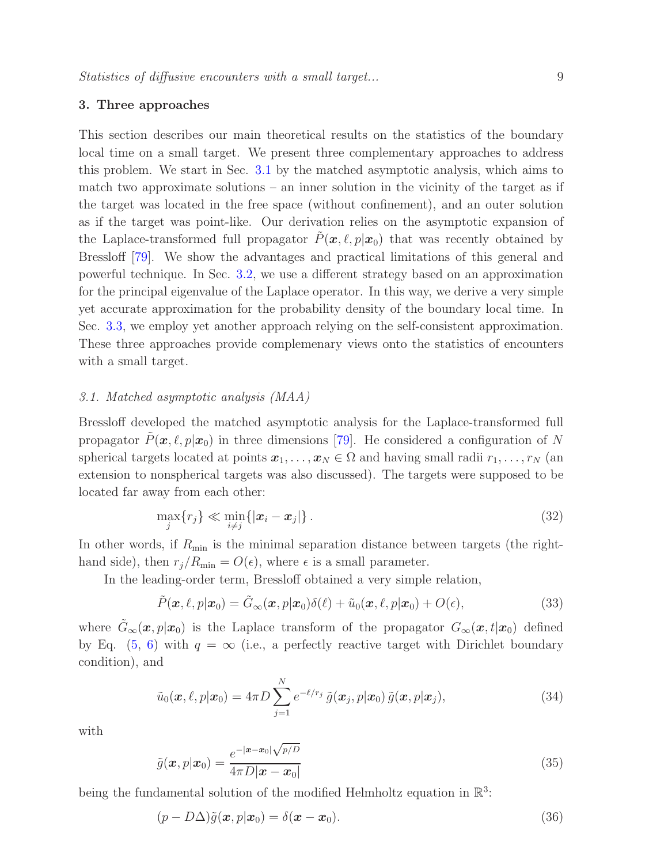## <span id="page-8-0"></span>3. Three approaches

This section describes our main theoretical results on the statistics of the boundary local time on a small target. We present three complementary approaches to address this problem. We start in Sec. [3.1](#page-8-1) by the matched asymptotic analysis, which aims to match two approximate solutions – an inner solution in the vicinity of the target as if the target was located in the free space (without confinement), and an outer solution as if the target was point-like. Our derivation relies on the asymptotic expansion of the Laplace-transformed full propagator  $\tilde{P}(\boldsymbol{x}, \ell, p|\boldsymbol{x}_0)$  that was recently obtained by Bressloff [\[79\]](#page-32-2). We show the advantages and practical limitations of this general and powerful technique. In Sec. [3.2,](#page-12-0) we use a different strategy based on an approximation for the principal eigenvalue of the Laplace operator. In this way, we derive a very simple yet accurate approximation for the probability density of the boundary local time. In Sec. [3.3,](#page-14-0) we employ yet another approach relying on the self-consistent approximation. These three approaches provide complemenary views onto the statistics of encounters with a small target.

# <span id="page-8-1"></span>3.1. Matched asymptotic analysis (MAA)

Bressloff developed the matched asymptotic analysis for the Laplace-transformed full propagator  $P(\mathbf{x}, \ell, p|\mathbf{x}_0)$  in three dimensions [\[79\]](#page-32-2). He considered a configuration of N spherical targets located at points  $x_1, \ldots, x_N \in \Omega$  and having small radii  $r_1, \ldots, r_N$  (and extension to nonspherical targets was also discussed). The targets were supposed to be located far away from each other:

<span id="page-8-4"></span>
$$
\max_{j} \{r_j\} \ll \min_{i \neq j} \{|x_i - x_j|\}.
$$
\n(32)

In other words, if  $R_{\text{min}}$  is the minimal separation distance between targets (the righthand side), then  $r_j/R_{\text{min}} = O(\epsilon)$ , where  $\epsilon$  is a small parameter.

In the leading-order term, Bressloff obtained a very simple relation,

<span id="page-8-2"></span>
$$
\tilde{P}(\boldsymbol{x},\ell,p|\boldsymbol{x}_0) = \tilde{G}_{\infty}(\boldsymbol{x},p|\boldsymbol{x}_0)\delta(\ell) + \tilde{u}_0(\boldsymbol{x},\ell,p|\boldsymbol{x}_0) + O(\epsilon),
$$
\n(33)

where  $\tilde{G}_{\infty}(\mathbf{x}, p|\mathbf{x}_0)$  is the Laplace transform of the propagator  $G_{\infty}(\mathbf{x}, t|\mathbf{x}_0)$  defined by Eq. [\(5,](#page-4-4) [6\)](#page-4-5) with  $q = \infty$  (i.e., a perfectly reactive target with Dirichlet boundary condition), and

<span id="page-8-3"></span>
$$
\tilde{u}_0(\boldsymbol{x},\ell,p|\boldsymbol{x}_0) = 4\pi D \sum_{j=1}^N e^{-\ell/r_j} \tilde{g}(\boldsymbol{x}_j,p|\boldsymbol{x}_0) \tilde{g}(\boldsymbol{x},p|\boldsymbol{x}_j),
$$
\n(34)

with

$$
\tilde{g}(\boldsymbol{x}, p|\boldsymbol{x}_0) = \frac{e^{-|\boldsymbol{x} - \boldsymbol{x}_0|} \sqrt{p/D}}{4\pi D |\boldsymbol{x} - \boldsymbol{x}_0|}
$$
\n(35)

being the fundamental solution of the modified Helmholtz equation in  $\mathbb{R}^3$ :

$$
(p - D\Delta)\tilde{g}(\boldsymbol{x}, p|\boldsymbol{x}_0) = \delta(\boldsymbol{x} - \boldsymbol{x}_0). \tag{36}
$$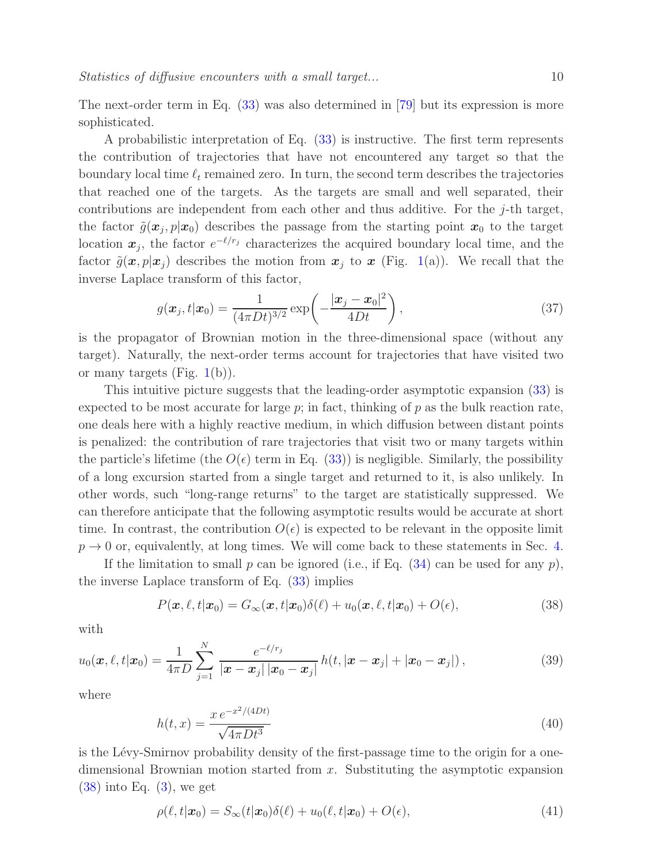The next-order term in Eq. [\(33\)](#page-8-2) was also determined in [\[79\]](#page-32-2) but its expression is more sophisticated.

A probabilistic interpretation of Eq. [\(33\)](#page-8-2) is instructive. The first term represents the contribution of trajectories that have not encountered any target so that the boundary local time  $\ell_t$  remained zero. In turn, the second term describes the trajectories that reached one of the targets. As the targets are small and well separated, their contributions are independent from each other and thus additive. For the j-th target, the factor  $\tilde{g}(\boldsymbol{x}_j, p|\boldsymbol{x}_0)$  describes the passage from the starting point  $\boldsymbol{x}_0$  to the target location  $x_j$ , the factor  $e^{-\ell/r_j}$  characterizes the acquired boundary local time, and the factor  $\tilde{g}(\mathbf{x}, p|\mathbf{x}_i)$  describes the motion from  $\mathbf{x}_i$  to  $\mathbf{x}$  (Fig. [1\(](#page-2-0)a)). We recall that the inverse Laplace transform of this factor,

$$
g(\boldsymbol{x}_j, t | \boldsymbol{x}_0) = \frac{1}{(4\pi Dt)^{3/2}} \exp\left(-\frac{|\boldsymbol{x}_j - \boldsymbol{x}_0|^2}{4Dt}\right),\tag{37}
$$

is the propagator of Brownian motion in the three-dimensional space (without any target). Naturally, the next-order terms account for trajectories that have visited two or many targets (Fig.  $1(b)$  $1(b)$ ).

This intuitive picture suggests that the leading-order asymptotic expansion [\(33\)](#page-8-2) is expected to be most accurate for large  $p$ ; in fact, thinking of  $p$  as the bulk reaction rate, one deals here with a highly reactive medium, in which diffusion between distant points is penalized: the contribution of rare trajectories that visit two or many targets within the particle's lifetime (the  $O(\epsilon)$  term in Eq. [\(33\)](#page-8-2)) is negligible. Similarly, the possibility of a long excursion started from a single target and returned to it, is also unlikely. In other words, such "long-range returns" to the target are statistically suppressed. We can therefore anticipate that the following asymptotic results would be accurate at short time. In contrast, the contribution  $O(\epsilon)$  is expected to be relevant in the opposite limit  $p \rightarrow 0$  or, equivalently, at long times. We will come back to these statements in Sec. [4.](#page-16-0)

If the limitation to small p can be ignored (i.e., if Eq.  $(34)$  can be used for any p), the inverse Laplace transform of Eq.  $(33)$  implies

<span id="page-9-0"></span>
$$
P(\boldsymbol{x}, \ell, t | \boldsymbol{x}_0) = G_{\infty}(\boldsymbol{x}, t | \boldsymbol{x}_0) \delta(\ell) + u_0(\boldsymbol{x}, \ell, t | \boldsymbol{x}_0) + O(\epsilon), \qquad (38)
$$

with

$$
u_0(\boldsymbol{x}, \ell, t | \boldsymbol{x}_0) = \frac{1}{4\pi D} \sum_{j=1}^N \frac{e^{-\ell/r_j}}{|\boldsymbol{x} - \boldsymbol{x}_j| |\boldsymbol{x}_0 - \boldsymbol{x}_j|} h(t, |\boldsymbol{x} - \boldsymbol{x}_j| + |\boldsymbol{x}_0 - \boldsymbol{x}_j|), \qquad (39)
$$

where

$$
h(t,x) = \frac{x e^{-x^2/(4Dt)}}{\sqrt{4\pi Dt^3}}
$$
\n(40)

is the Lévy-Smirnov probability density of the first-passage time to the origin for a onedimensional Brownian motion started from x. Substituting the asymptotic expansion  $(38)$  into Eq.  $(3)$ , we get

<span id="page-9-1"></span>
$$
\rho(\ell, t|\mathbf{x}_0) = S_{\infty}(t|\mathbf{x}_0)\delta(\ell) + u_0(\ell, t|\mathbf{x}_0) + O(\epsilon), \tag{41}
$$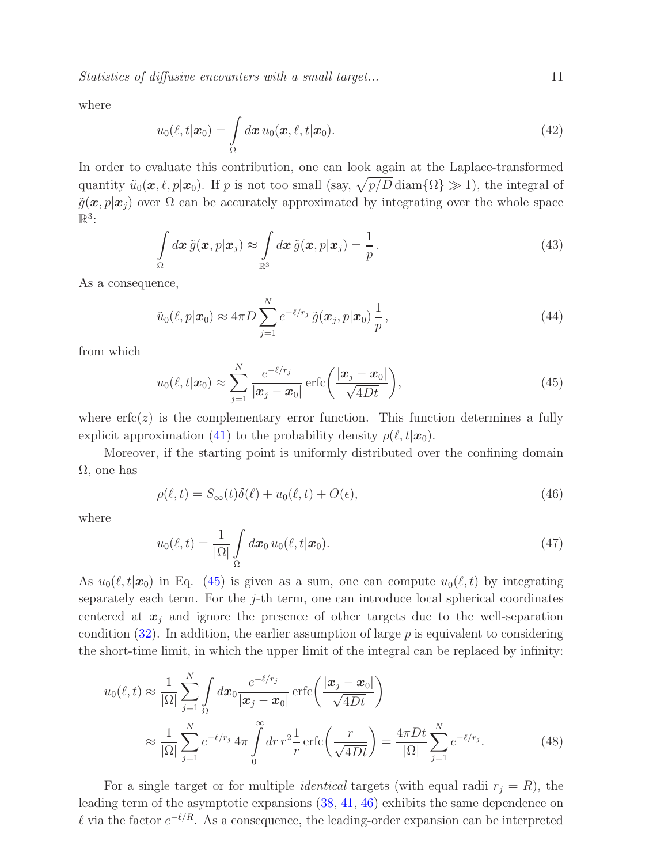Statistics of diffusive encounters with a small target...  $11$ 

where

$$
u_0(\ell, t|\boldsymbol{x}_0) = \int\limits_{\Omega} d\boldsymbol{x} \, u_0(\boldsymbol{x}, \ell, t|\boldsymbol{x}_0). \tag{42}
$$

In order to evaluate this contribution, one can look again at the Laplace-transformed quantity  $\tilde{u}_0(\mathbf{x}, \ell, p|\mathbf{x}_0)$ . If p is not too small (say,  $\sqrt{p/D}$  diam $\{\Omega\} \gg 1$ ), the integral of  $\tilde{g}(\boldsymbol{x}, p|\boldsymbol{x}_i)$  over  $\Omega$  can be accurately approximated by integrating over the whole space  $\mathbb{R}^3$ :

$$
\int_{\Omega} d\boldsymbol{x} \, \tilde{g}(\boldsymbol{x}, p | \boldsymbol{x}_j) \approx \int_{\mathbb{R}^3} d\boldsymbol{x} \, \tilde{g}(\boldsymbol{x}, p | \boldsymbol{x}_j) = \frac{1}{p} \,.
$$
\n(43)

As a consequence,

$$
\tilde{u}_0(\ell, p|\boldsymbol{x}_0) \approx 4\pi D \sum_{j=1}^N e^{-\ell/r_j} \tilde{g}(\boldsymbol{x}_j, p|\boldsymbol{x}_0) \frac{1}{p},
$$
\n(44)

from which

<span id="page-10-0"></span>
$$
u_0(\ell, t | \boldsymbol{x}_0) \approx \sum_{j=1}^N \frac{e^{-\ell/r_j}}{|\boldsymbol{x}_j - \boldsymbol{x}_0|} \operatorname{erfc}\left(\frac{|\boldsymbol{x}_j - \boldsymbol{x}_0|}{\sqrt{4Dt}}\right),\tag{45}
$$

where  $erfc(z)$  is the complementary error function. This function determines a fully explicit approximation [\(41\)](#page-9-1) to the probability density  $\rho(\ell, t|\mathbf{x}_0)$ .

Moreover, if the starting point is uniformly distributed over the confining domain  $\Omega$ , one has

<span id="page-10-1"></span>
$$
\rho(\ell, t) = S_{\infty}(t)\delta(\ell) + u_0(\ell, t) + O(\epsilon),\tag{46}
$$

where

<span id="page-10-2"></span>
$$
u_0(\ell, t) = \frac{1}{|\Omega|} \int_{\Omega} d\boldsymbol{x}_0 u_0(\ell, t | \boldsymbol{x}_0).
$$
 (47)

As  $u_0(\ell, t|\mathbf{x}_0)$  in Eq. [\(45\)](#page-10-0) is given as a sum, one can compute  $u_0(\ell, t)$  by integrating separately each term. For the  $j$ -th term, one can introduce local spherical coordinates centered at  $x_j$  and ignore the presence of other targets due to the well-separation condition  $(32)$ . In addition, the earlier assumption of large p is equivalent to considering the short-time limit, in which the upper limit of the integral can be replaced by infinity:

$$
u_0(\ell, t) \approx \frac{1}{|\Omega|} \sum_{j=1}^N \int_{\Omega} dx_0 \frac{e^{-\ell/r_j}}{|x_j - x_0|} \operatorname{erfc}\left(\frac{|x_j - x_0|}{\sqrt{4Dt}}\right)
$$

$$
\approx \frac{1}{|\Omega|} \sum_{j=1}^N e^{-\ell/r_j} 4\pi \int_0^\infty dr \, r^2 \frac{1}{r} \operatorname{erfc}\left(\frac{r}{\sqrt{4Dt}}\right) = \frac{4\pi Dt}{|\Omega|} \sum_{j=1}^N e^{-\ell/r_j}.\tag{48}
$$

For a single target or for multiple *identical* targets (with equal radii  $r_j = R$ ), the leading term of the asymptotic expansions [\(38,](#page-9-0) [41,](#page-9-1) [46\)](#page-10-1) exhibits the same dependence on l via the factor  $e^{-\ell/R}$ . As a consequence, the leading-order expansion can be interpreted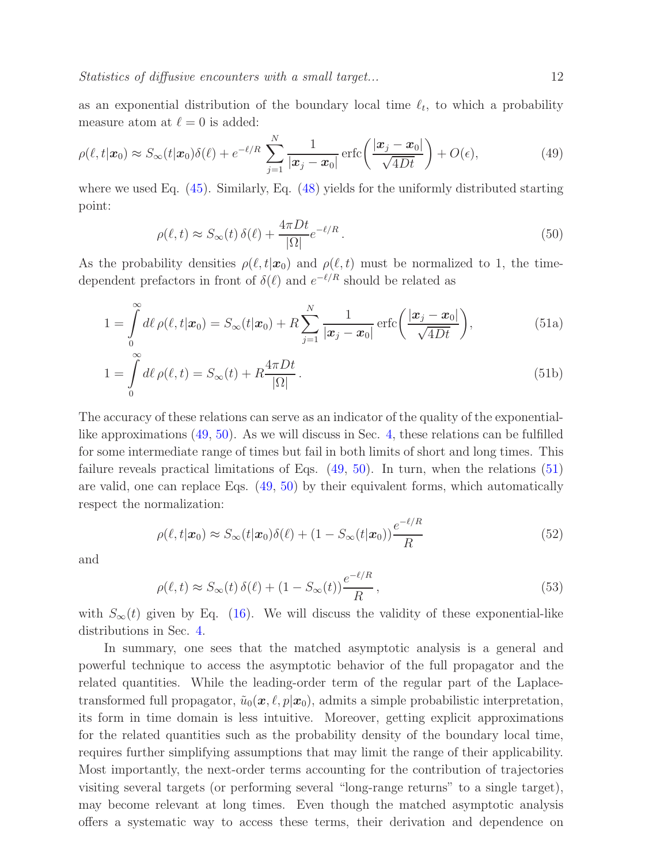as an exponential distribution of the boundary local time  $\ell_t$ , to which a probability measure atom at  $\ell = 0$  is added:

$$
\rho(\ell, t | \mathbf{x}_0) \approx S_{\infty}(t | \mathbf{x}_0) \delta(\ell) + e^{-\ell/R} \sum_{j=1}^N \frac{1}{|\mathbf{x}_j - \mathbf{x}_0|} \operatorname{erfc}\left(\frac{|\mathbf{x}_j - \mathbf{x}_0|}{\sqrt{4Dt}}\right) + O(\epsilon),\tag{49}
$$

<span id="page-11-1"></span>where we used Eq. [\(45\)](#page-10-0). Similarly, Eq. [\(48\)](#page-10-2) yields for the uniformly distributed starting point:

<span id="page-11-4"></span><span id="page-11-2"></span><span id="page-11-0"></span>
$$
\rho(\ell, t) \approx S_{\infty}(t) \,\delta(\ell) + \frac{4\pi Dt}{|\Omega|} e^{-\ell/R} \,. \tag{50}
$$

As the probability densities  $\rho(\ell,t|\mathbf{x}_0)$  and  $\rho(\ell,t)$  must be normalized to 1, the timedependent prefactors in front of  $\delta(\ell)$  and  $e^{-\ell/R}$  should be related as

$$
1 = \int_{0}^{\infty} d\ell \,\rho(\ell, t | \mathbf{x}_0) = S_{\infty}(t | \mathbf{x}_0) + R \sum_{j=1}^{N} \frac{1}{|\mathbf{x}_j - \mathbf{x}_0|} \operatorname{erfc}\left(\frac{|\mathbf{x}_j - \mathbf{x}_0|}{\sqrt{4Dt}}\right),\tag{51a}
$$

$$
1 = \int_{0}^{\infty} d\ell \,\rho(\ell, t) = S_{\infty}(t) + R \frac{4\pi Dt}{|\Omega|}.
$$
\n(51b)

The accuracy of these relations can serve as an indicator of the quality of the exponentiallike approximations [\(49,](#page-11-0) [50\)](#page-11-1). As we will discuss in Sec. [4,](#page-16-0) these relations can be fulfilled for some intermediate range of times but fail in both limits of short and long times. This failure reveals practical limitations of Eqs. [\(49,](#page-11-0) [50\)](#page-11-1). In turn, when the relations [\(51\)](#page-11-2) are valid, one can replace Eqs. [\(49,](#page-11-0) [50\)](#page-11-1) by their equivalent forms, which automatically respect the normalization:

$$
\rho(\ell, t | \mathbf{x}_0) \approx S_{\infty}(t | \mathbf{x}_0) \delta(\ell) + (1 - S_{\infty}(t | \mathbf{x}_0)) \frac{e^{-\ell/R}}{R}
$$
\n(52)

<span id="page-11-3"></span>and

$$
\rho(\ell, t) \approx S_{\infty}(t) \,\delta(\ell) + (1 - S_{\infty}(t)) \frac{e^{-\ell/R}}{R},\tag{53}
$$

with  $S_{\infty}(t)$  given by Eq. [\(16\)](#page-5-2). We will discuss the validity of these exponential-like distributions in Sec. [4.](#page-16-0)

In summary, one sees that the matched asymptotic analysis is a general and powerful technique to access the asymptotic behavior of the full propagator and the related quantities. While the leading-order term of the regular part of the Laplacetransformed full propagator,  $\tilde{u}_0(x, \ell, p|x_0)$ , admits a simple probabilistic interpretation, its form in time domain is less intuitive. Moreover, getting explicit approximations for the related quantities such as the probability density of the boundary local time, requires further simplifying assumptions that may limit the range of their applicability. Most importantly, the next-order terms accounting for the contribution of trajectories visiting several targets (or performing several "long-range returns" to a single target), may become relevant at long times. Even though the matched asymptotic analysis offers a systematic way to access these terms, their derivation and dependence on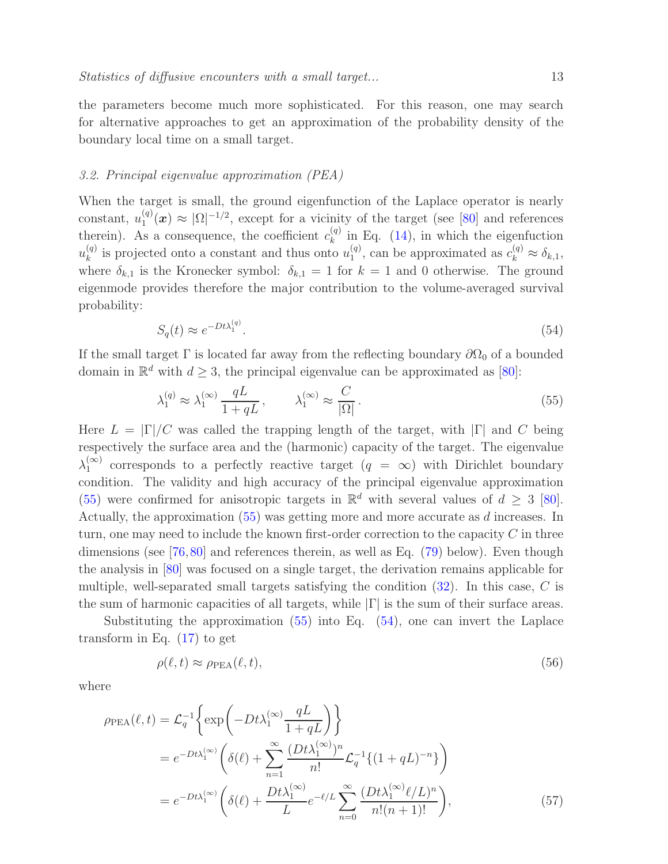the parameters become much more sophisticated. For this reason, one may search for alternative approaches to get an approximation of the probability density of the boundary local time on a small target.

#### <span id="page-12-0"></span>3.2. Principal eigenvalue approximation (PEA)

When the target is small, the ground eigenfunction of the Laplace operator is nearly constant,  $u_1^{(q)}$  $\Omega_1^{(q)}(x) \approx |\Omega|^{-1/2}$ , except for a vicinity of the target (see [\[80\]](#page-32-3) and references therein). As a consequence, the coefficient  $c_k^{(q)}$  in Eq. [\(14\)](#page-5-3), in which the eigenfuction k  $u_k^{(q)}$  $\binom{q}{k}$  is projected onto a constant and thus onto  $u_1^{(q)}$  $\mathcal{L}_1^{(q)}$ , can be approximated as  $c_k^{(q)} \approx \delta_{k,1}$ , where  $\delta_{k,1}$  is the Kronecker symbol:  $\delta_{k,1} = 1$  for  $k = 1$  and 0 otherwise. The ground eigenmode provides therefore the major contribution to the volume-averaged survival probability:

<span id="page-12-2"></span>
$$
S_q(t) \approx e^{-Dt\lambda_1^{(q)}}.\tag{54}
$$

If the small target  $\Gamma$  is located far away from the reflecting boundary  $\partial\Omega_0$  of a bounded domain in  $\mathbb{R}^d$  with  $d \geq 3$ , the principal eigenvalue can be approximated as [\[80\]](#page-32-3):

<span id="page-12-1"></span>
$$
\lambda_1^{(q)} \approx \lambda_1^{(\infty)} \frac{qL}{1 + qL}, \qquad \lambda_1^{(\infty)} \approx \frac{C}{|\Omega|}.
$$
\n
$$
(55)
$$

Here  $L = |\Gamma|/C$  was called the trapping length of the target, with  $|\Gamma|$  and C being respectively the surface area and the (harmonic) capacity of the target. The eigenvalue  $\lambda_1^{(\infty)}$  $_1^{(\infty)}$  corresponds to a perfectly reactive target  $(q = \infty)$  with Dirichlet boundary condition. The validity and high accuracy of the principal eigenvalue approximation [\(55\)](#page-12-1) were confirmed for anisotropic targets in  $\mathbb{R}^d$  with several values of  $d \geq 3$  [\[80\]](#page-32-3). Actually, the approximation [\(55\)](#page-12-1) was getting more and more accurate as d increases. In turn, one may need to include the known first-order correction to the capacity  $C$  in three dimensions (see [\[76,](#page-31-4)[80\]](#page-32-3) and references therein, as well as Eq. [\(79\)](#page-17-0) below). Even though the analysis in [\[80\]](#page-32-3) was focused on a single target, the derivation remains applicable for multiple, well-separated small targets satisfying the condition  $(32)$ . In this case, C is the sum of harmonic capacities of all targets, while  $|\Gamma|$  is the sum of their surface areas.

Substituting the approximation [\(55\)](#page-12-1) into Eq. [\(54\)](#page-12-2), one can invert the Laplace transform in Eq. [\(17\)](#page-5-4) to get

<span id="page-12-3"></span>
$$
\rho(\ell, t) \approx \rho_{\text{PEA}}(\ell, t),\tag{56}
$$

where

$$
\rho_{\text{PEA}}(\ell, t) = \mathcal{L}_q^{-1} \left\{ \exp\left( -Dt\lambda_1^{(\infty)} \frac{qL}{1 + qL} \right) \right\}
$$
  
\n
$$
= e^{-Dt\lambda_1^{(\infty)}} \left( \delta(\ell) + \sum_{n=1}^{\infty} \frac{(Dt\lambda_1^{(\infty)})^n}{n!} \mathcal{L}_q^{-1} \{ (1 + qL)^{-n} \} \right)
$$
  
\n
$$
= e^{-Dt\lambda_1^{(\infty)}} \left( \delta(\ell) + \frac{Dt\lambda_1^{(\infty)}}{L} e^{-\ell/L} \sum_{n=0}^{\infty} \frac{(Dt\lambda_1^{(\infty)}\ell/L)^n}{n!(n+1)!} \right), \tag{57}
$$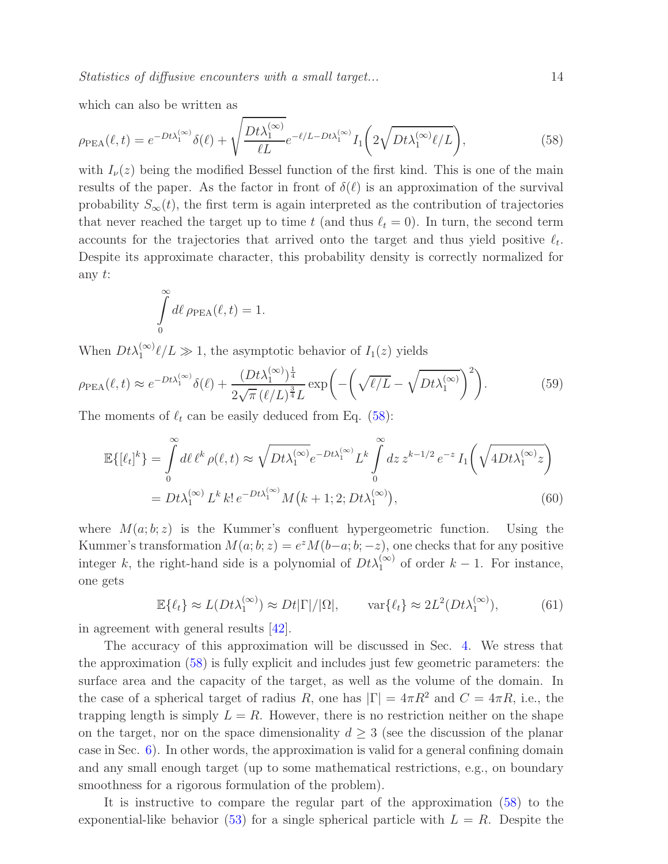<span id="page-13-0"></span>which can also be written as

$$
\rho_{\rm PEA}(\ell, t) = e^{-Dt\lambda_1^{(\infty)}} \delta(\ell) + \sqrt{\frac{Dt\lambda_1^{(\infty)}}{\ell L}} e^{-\ell/L - Dt\lambda_1^{(\infty)}} I_1\left(2\sqrt{Dt\lambda_1^{(\infty)}\ell/L}\right),\tag{58}
$$

with  $I_{\nu}(z)$  being the modified Bessel function of the first kind. This is one of the main results of the paper. As the factor in front of  $\delta(\ell)$  is an approximation of the survival probability  $S_{\infty}(t)$ , the first term is again interpreted as the contribution of trajectories that never reached the target up to time t (and thus  $\ell_t = 0$ ). In turn, the second term accounts for the trajectories that arrived onto the target and thus yield positive  $\ell_t$ . Despite its approximate character, this probability density is correctly normalized for any t:

<span id="page-13-1"></span>
$$
\int_{0}^{\infty} d\ell \,\rho_{\rm PEA}(\ell, t) = 1.
$$

When  $Dt\lambda_1^{(\infty)}\ell/L \gg 1$ , the asymptotic behavior of  $I_1(z)$  yields

$$
\rho_{\rm PEA}(\ell, t) \approx e^{-Dt\lambda_1^{(\infty)}} \delta(\ell) + \frac{(Dt\lambda_1^{(\infty)})^{\frac{1}{4}}}{2\sqrt{\pi} (\ell/L)^{\frac{3}{4}}L} \exp\left(-\left(\sqrt{\ell/L} - \sqrt{Dt\lambda_1^{(\infty)}}\right)^2\right).
$$
(59)

The moments of  $\ell_t$  can be easily deduced from Eq. [\(58\)](#page-13-0):

$$
\mathbb{E}\{[\ell_t]^k\} = \int_0^\infty d\ell \,\ell^k \,\rho(\ell,t) \approx \sqrt{Dt\lambda_1^{(\infty)}} e^{-Dt\lambda_1^{(\infty)}} L^k \int_0^\infty dz \, z^{k-1/2} \, e^{-z} I_1\bigg(\sqrt{4Dt\lambda_1^{(\infty)}} z\bigg)
$$

$$
= Dt\lambda_1^{(\infty)} L^k \, k! \, e^{-Dt\lambda_1^{(\infty)}} M\big(k+1;2;Dt\lambda_1^{(\infty)}\big),\tag{60}
$$

where  $M(a; b; z)$  is the Kummer's confluent hypergeometric function. Using the Kummer's transformation  $M(a; b; z) = e^{z} M(b-a; b; -z)$ , one checks that for any positive integer k, the right-hand side is a polynomial of  $Dt\lambda_1^{(\infty)}$  of order  $k-1$ . For instance, one gets

$$
\mathbb{E}\{\ell_t\} \approx L(Dt\lambda_1^{(\infty)}) \approx Dt|\Gamma|/|\Omega|, \qquad \text{var}\{\ell_t\} \approx 2L^2(Dt\lambda_1^{(\infty)}), \tag{61}
$$

in agreement with general results [\[42\]](#page-30-3).

The accuracy of this approximation will be discussed in Sec. [4.](#page-16-0) We stress that the approximation [\(58\)](#page-13-0) is fully explicit and includes just few geometric parameters: the surface area and the capacity of the target, as well as the volume of the domain. In the case of a spherical target of radius R, one has  $|\Gamma| = 4\pi R^2$  and  $C = 4\pi R$ , i.e., the trapping length is simply  $L = R$ . However, there is no restriction neither on the shape on the target, nor on the space dimensionality  $d \geq 3$  (see the discussion of the planar case in Sec. [6\)](#page-23-0). In other words, the approximation is valid for a general confining domain and any small enough target (up to some mathematical restrictions, e.g., on boundary smoothness for a rigorous formulation of the problem).

It is instructive to compare the regular part of the approximation [\(58\)](#page-13-0) to the exponential-like behavior [\(53\)](#page-11-3) for a single spherical particle with  $L = R$ . Despite the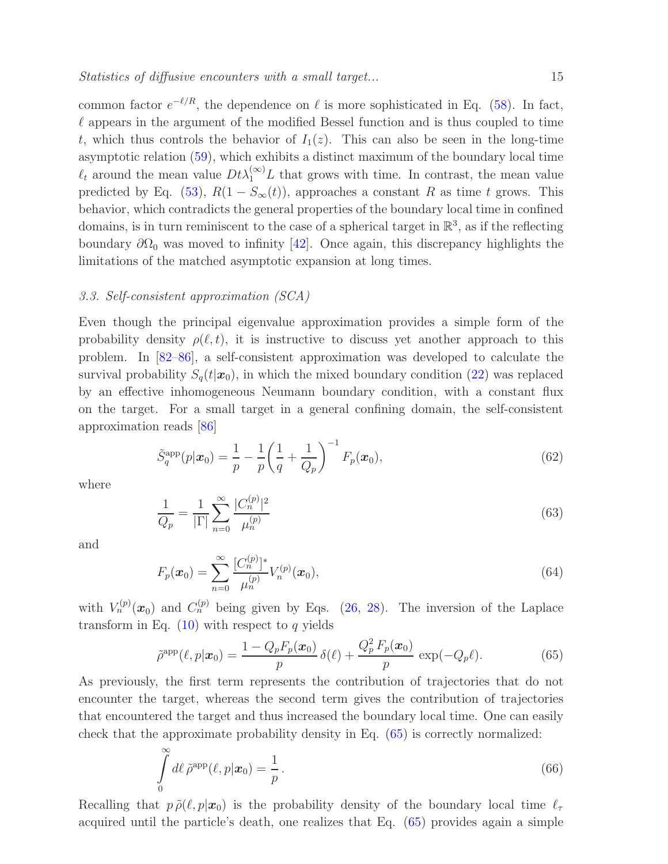common factor  $e^{-\ell/R}$ , the dependence on  $\ell$  is more sophisticated in Eq. [\(58\)](#page-13-0). In fact,  $\ell$  appears in the argument of the modified Bessel function and is thus coupled to time t, which thus controls the behavior of  $I_1(z)$ . This can also be seen in the long-time asymptotic relation [\(59\)](#page-13-1), which exhibits a distinct maximum of the boundary local time  $\ell_t$  around the mean value  $Dt\lambda_1^{(\infty)}L$  that grows with time. In contrast, the mean value predicted by Eq. [\(53\)](#page-11-3),  $R(1 - S_{\infty}(t))$ , approaches a constant R as time t grows. This behavior, which contradicts the general properties of the boundary local time in confined domains, is in turn reminiscent to the case of a spherical target in  $\mathbb{R}^3$ , as if the reflecting boundary  $\partial\Omega_0$  was moved to infinity [\[42\]](#page-30-3). Once again, this discrepancy highlights the limitations of the matched asymptotic expansion at long times.

#### <span id="page-14-0"></span>3.3. Self-consistent approximation (SCA)

Even though the principal eigenvalue approximation provides a simple form of the probability density  $\rho(\ell, t)$ , it is instructive to discuss yet another approach to this problem. In [\[82](#page-32-5)[–86\]](#page-32-6), a self-consistent approximation was developed to calculate the survival probability  $S_q(t|\mathbf{x}_0)$ , in which the mixed boundary condition [\(22\)](#page-6-1) was replaced by an effective inhomogeneous Neumann boundary condition, with a constant flux on the target. For a small target in a general confining domain, the self-consistent approximation reads [\[86\]](#page-32-6)

$$
\tilde{S}_q^{\rm app}(p|\bm{x}_0) = \frac{1}{p} - \frac{1}{p} \left(\frac{1}{q} + \frac{1}{Q_p}\right)^{-1} F_p(\bm{x}_0),\tag{62}
$$

<span id="page-14-2"></span>where

$$
\frac{1}{Q_p} = \frac{1}{|\Gamma|} \sum_{n=0}^{\infty} \frac{|C_n^{(p)}|^2}{\mu_n^{(p)}}
$$
\n(63)

<span id="page-14-3"></span>and

$$
F_p(\boldsymbol{x}_0) = \sum_{n=0}^{\infty} \frac{[C_n^{(p)}]^*}{\mu_n^{(p)}} V_n^{(p)}(\boldsymbol{x}_0),
$$
\n(64)

with  $V_n^{(p)}(x_0)$  and  $C_n^{(p)}$  being given by Eqs. [\(26,](#page-7-3) [28\)](#page-7-4). The inversion of the Laplace transform in Eq.  $(10)$  with respect to q yields

<span id="page-14-1"></span>
$$
\tilde{\rho}^{\text{app}}(\ell, p|\boldsymbol{x}_0) = \frac{1 - Q_p F_p(\boldsymbol{x}_0)}{p} \,\delta(\ell) + \frac{Q_p^2 F_p(\boldsymbol{x}_0)}{p} \,\exp(-Q_p \ell). \tag{65}
$$

As previously, the first term represents the contribution of trajectories that do not encounter the target, whereas the second term gives the contribution of trajectories that encountered the target and thus increased the boundary local time. One can easily check that the approximate probability density in Eq. [\(65\)](#page-14-1) is correctly normalized:

$$
\int_{0}^{\infty} d\ell \,\tilde{\rho}^{\rm app}(\ell, p|\mathbf{x}_0) = \frac{1}{p} \,. \tag{66}
$$

Recalling that  $p \tilde{\rho}(\ell, p|\mathbf{x}_0)$  is the probability density of the boundary local time  $\ell_{\tau}$ acquired until the particle's death, one realizes that Eq. [\(65\)](#page-14-1) provides again a simple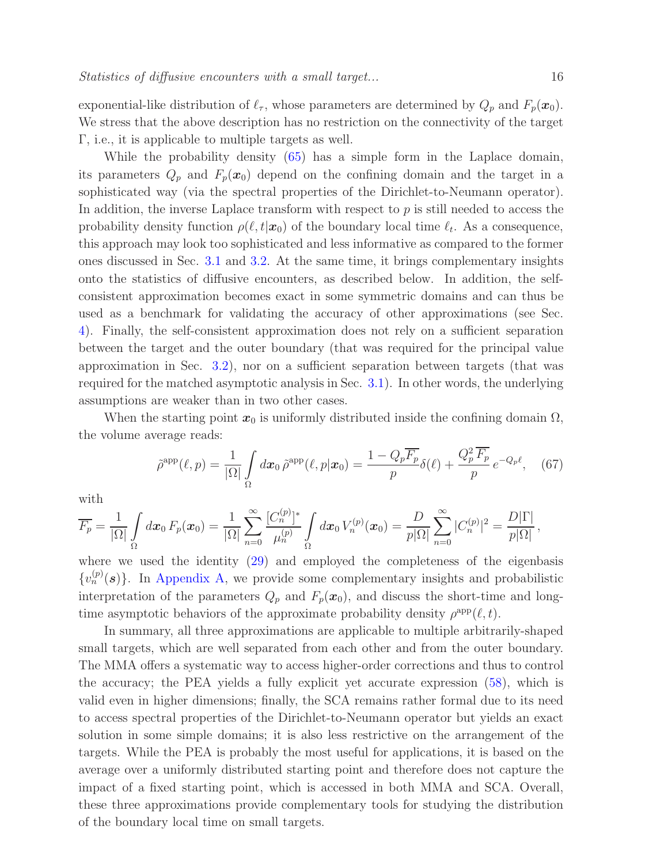exponential-like distribution of  $\ell_{\tau}$ , whose parameters are determined by  $Q_p$  and  $F_p(\boldsymbol{x}_0)$ . We stress that the above description has no restriction on the connectivity of the target Γ, i.e., it is applicable to multiple targets as well.

While the probability density [\(65\)](#page-14-1) has a simple form in the Laplace domain, its parameters  $Q_p$  and  $F_p(x_0)$  depend on the confining domain and the target in a sophisticated way (via the spectral properties of the Dirichlet-to-Neumann operator). In addition, the inverse Laplace transform with respect to  $p$  is still needed to access the probability density function  $\rho(\ell, t|\mathbf{x}_0)$  of the boundary local time  $\ell_t$ . As a consequence, this approach may look too sophisticated and less informative as compared to the former ones discussed in Sec. [3.1](#page-8-1) and [3.2.](#page-12-0) At the same time, it brings complementary insights onto the statistics of diffusive encounters, as described below. In addition, the selfconsistent approximation becomes exact in some symmetric domains and can thus be used as a benchmark for validating the accuracy of other approximations (see Sec. [4\)](#page-16-0). Finally, the self-consistent approximation does not rely on a sufficient separation between the target and the outer boundary (that was required for the principal value approximation in Sec. [3.2\)](#page-12-0), nor on a sufficient separation between targets (that was required for the matched asymptotic analysis in Sec. [3.1\)](#page-8-1). In other words, the underlying assumptions are weaker than in two other cases.

When the starting point  $x_0$  is uniformly distributed inside the confining domain  $\Omega$ , the volume average reads:

<span id="page-15-0"></span>
$$
\tilde{\rho}^{\text{app}}(\ell, p) = \frac{1}{|\Omega|} \int_{\Omega} d\boldsymbol{x}_{0} \,\tilde{\rho}^{\text{app}}(\ell, p | \boldsymbol{x}_{0}) = \frac{1 - Q_{p} \overline{F_{p}}}{p} \delta(\ell) + \frac{Q_{p}^{2} \overline{F_{p}}}{p} \, e^{-Q_{p}\ell}, \quad (67)
$$

with

$$
\overline{F_p} = \frac{1}{|\Omega|} \int_{\Omega} dx_0 F_p(x_0) = \frac{1}{|\Omega|} \sum_{n=0}^{\infty} \frac{[C_n^{(p)}]^*}{\mu_n^{(p)}} \int_{\Omega} dx_0 V_n^{(p)}(x_0) = \frac{D}{p|\Omega|} \sum_{n=0}^{\infty} |C_n^{(p)}|^2 = \frac{D|\Gamma|}{p|\Omega|},
$$

where we used the identity [\(29\)](#page-7-2) and employed the completeness of the eigenbasis  ${v_n^{(p)}(s)}$ . In [Appendix A,](#page-24-0) we provide some complementary insights and probabilistic interpretation of the parameters  $Q_p$  and  $F_p(x_0)$ , and discuss the short-time and longtime asymptotic behaviors of the approximate probability density  $\rho^{\text{app}}(\ell, t)$ .

In summary, all three approximations are applicable to multiple arbitrarily-shaped small targets, which are well separated from each other and from the outer boundary. The MMA offers a systematic way to access higher-order corrections and thus to control the accuracy; the PEA yields a fully explicit yet accurate expression [\(58\)](#page-13-0), which is valid even in higher dimensions; finally, the SCA remains rather formal due to its need to access spectral properties of the Dirichlet-to-Neumann operator but yields an exact solution in some simple domains; it is also less restrictive on the arrangement of the targets. While the PEA is probably the most useful for applications, it is based on the average over a uniformly distributed starting point and therefore does not capture the impact of a fixed starting point, which is accessed in both MMA and SCA. Overall, these three approximations provide complementary tools for studying the distribution of the boundary local time on small targets.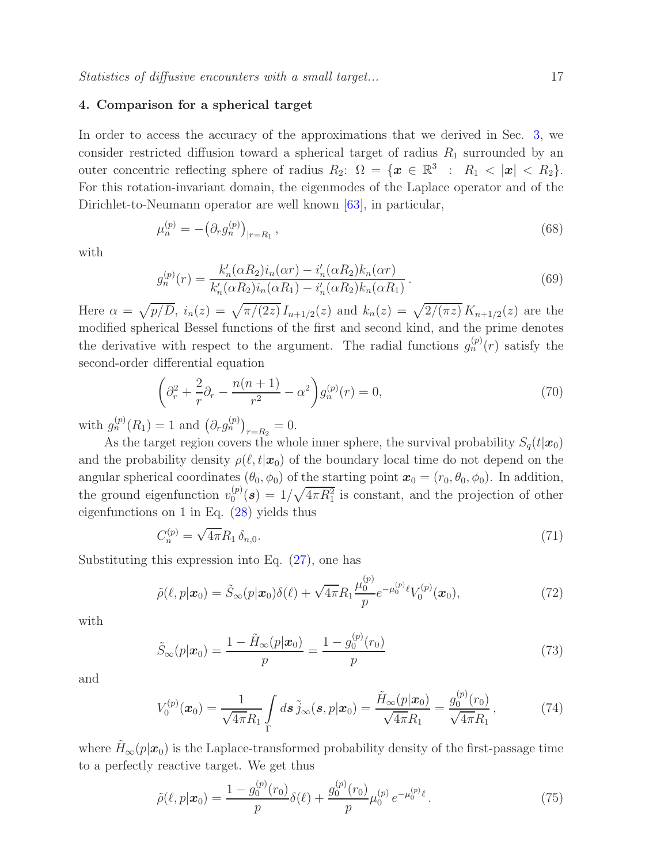# <span id="page-16-0"></span>4. Comparison for a spherical target

In order to access the accuracy of the approximations that we derived in Sec. [3,](#page-8-0) we consider restricted diffusion toward a spherical target of radius  $R_1$  surrounded by an outer concentric reflecting sphere of radius  $R_2$ :  $\Omega = {\mathbf{x} \in \mathbb{R}^3 : R_1 < |x| < R_2}$ . For this rotation-invariant domain, the eigenmodes of the Laplace operator and of the Dirichlet-to-Neumann operator are well known [\[63\]](#page-31-1), in particular,

<span id="page-16-4"></span>
$$
\mu_n^{(p)} = -\left(\partial_r g_n^{(p)}\right)_{|r=R_1},\tag{68}
$$

with

$$
g_n^{(p)}(r) = \frac{k'_n(\alpha R_2)i_n(\alpha r) - i'_n(\alpha R_2)k_n(\alpha r)}{k'_n(\alpha R_2)i_n(\alpha R_1) - i'_n(\alpha R_2)k_n(\alpha R_1)}.
$$
\n(69)

Here  $\alpha = \sqrt{p/D}$ ,  $i_n(z) = \sqrt{\pi/(2z)} I_{n+1/2}(z)$  and  $k_n(z) = \sqrt{2/(\pi z)} K_{n+1/2}(z)$  are the modified spherical Bessel functions of the first and second kind, and the prime denotes the derivative with respect to the argument. The radial functions  $g_n^{(p)}(r)$  satisfy the second-order differential equation

<span id="page-16-1"></span>
$$
\left(\partial_r^2 + \frac{2}{r}\partial_r - \frac{n(n+1)}{r^2} - \alpha^2\right)g_n^{(p)}(r) = 0,
$$
\n(70)

with  $g_n^{(p)}(R_1) = 1$  and  $(\partial_r g_n^{(p)})_{r=R_2} = 0$ .

As the target region covers the whole inner sphere, the survival probability  $S_q(t|\mathbf{x}_0)$ and the probability density  $\rho(\ell,t|\mathbf{x}_0)$  of the boundary local time do not depend on the angular spherical coordinates  $(\theta_0, \phi_0)$  of the starting point  $\mathbf{x}_0 = (r_0, \theta_0, \phi_0)$ . In addition, the ground eigenfunction  $v_0^{(p)}$  $\binom{p}{0}$  (s) =  $1/\sqrt{4\pi R_1^2}$  is constant, and the projection of other eigenfunctions on 1 in Eq. [\(28\)](#page-7-4) yields thus

<span id="page-16-3"></span>
$$
C_n^{(p)} = \sqrt{4\pi} R_1 \,\delta_{n,0}.\tag{71}
$$

Substituting this expression into Eq. [\(27\)](#page-7-0), one has

$$
\tilde{\rho}(\ell, p | \mathbf{x}_0) = \tilde{S}_{\infty}(p | \mathbf{x}_0) \delta(\ell) + \sqrt{4\pi} R_1 \frac{\mu_0^{(p)}}{p} e^{-\mu_0^{(p)} \ell} V_0^{(p)}(\mathbf{x}_0), \tag{72}
$$

with

$$
\tilde{S}_{\infty}(p|\boldsymbol{x}_0) = \frac{1 - \tilde{H}_{\infty}(p|\boldsymbol{x}_0)}{p} = \frac{1 - g_0^{(p)}(r_0)}{p}
$$
\n(73)

and

$$
V_0^{(p)}(\boldsymbol{x}_0) = \frac{1}{\sqrt{4\pi}R_1} \int\limits_{\Gamma} d\boldsymbol{s} \, \tilde{j}_{\infty}(\boldsymbol{s}, p|\boldsymbol{x}_0) = \frac{\tilde{H}_{\infty}(p|\boldsymbol{x}_0)}{\sqrt{4\pi}R_1} = \frac{g_0^{(p)}(r_0)}{\sqrt{4\pi}R_1},\tag{74}
$$

where  $\tilde{H}_{\infty}(p|\mathbf{x}_0)$  is the Laplace-transformed probability density of the first-passage time to a perfectly reactive target. We get thus

<span id="page-16-2"></span>
$$
\tilde{\rho}(\ell, p | \mathbf{x}_0) = \frac{1 - g_0^{(p)}(r_0)}{p} \delta(\ell) + \frac{g_0^{(p)}(r_0)}{p} \mu_0^{(p)} e^{-\mu_0^{(p)} \ell}.
$$
\n(75)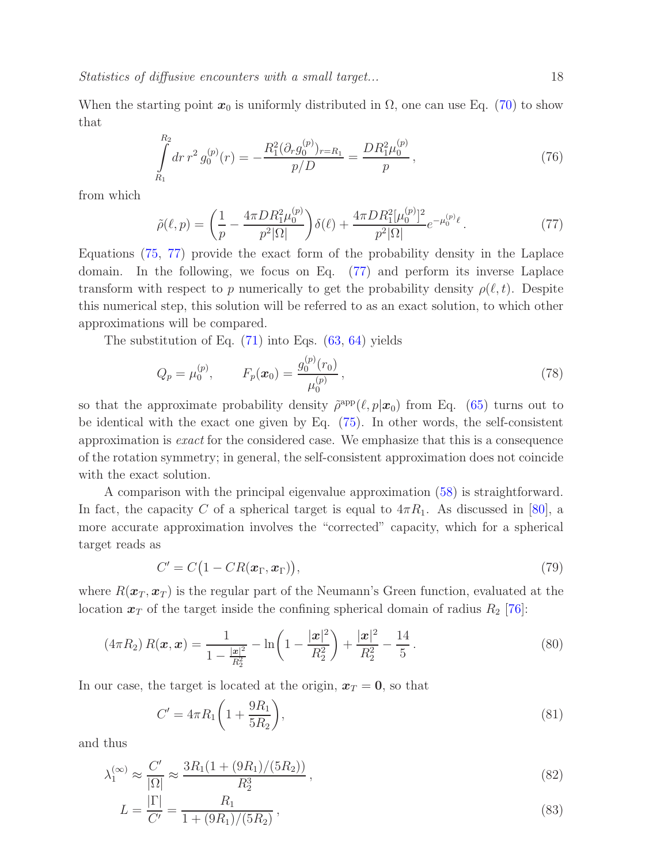When the starting point  $x_0$  is uniformly distributed in  $\Omega$ , one can use Eq. [\(70\)](#page-16-1) to show that

$$
\int_{R_1}^{R_2} dr \, r^2 \, g_0^{(p)}(r) = -\frac{R_1^2 (\partial_r g_0^{(p)})_{r=R_1}}{p/D} = \frac{DR_1^2 \mu_0^{(p)}}{p},\tag{76}
$$

from which

<span id="page-17-1"></span>
$$
\tilde{\rho}(\ell,p) = \left(\frac{1}{p} - \frac{4\pi D R_1^2 \mu_0^{(p)}}{p^2 |\Omega|}\right) \delta(\ell) + \frac{4\pi D R_1^2 [\mu_0^{(p)}]^2}{p^2 |\Omega|} e^{-\mu_0^{(p)} \ell}.
$$
\n(77)

Equations [\(75,](#page-16-2) [77\)](#page-17-1) provide the exact form of the probability density in the Laplace domain. In the following, we focus on Eq. [\(77\)](#page-17-1) and perform its inverse Laplace transform with respect to p numerically to get the probability density  $\rho(\ell, t)$ . Despite this numerical step, this solution will be referred to as an exact solution, to which other approximations will be compared.

The substitution of Eq.  $(71)$  into Eqs.  $(63, 64)$  $(63, 64)$  yields

$$
Q_p = \mu_0^{(p)}, \qquad F_p(\boldsymbol{x}_0) = \frac{g_0^{(p)}(r_0)}{\mu_0^{(p)}}, \qquad (78)
$$

so that the approximate probability density  $\tilde{\rho}^{\text{app}}(\ell, p|\mathbf{x}_0)$  from Eq. [\(65\)](#page-14-1) turns out to be identical with the exact one given by Eq. [\(75\)](#page-16-2). In other words, the self-consistent approximation is exact for the considered case. We emphasize that this is a consequence of the rotation symmetry; in general, the self-consistent approximation does not coincide with the exact solution.

A comparison with the principal eigenvalue approximation [\(58\)](#page-13-0) is straightforward. In fact, the capacity C of a spherical target is equal to  $4\pi R_1$ . As discussed in [\[80\]](#page-32-3), a more accurate approximation involves the "corrected" capacity, which for a spherical target reads as

<span id="page-17-0"></span>
$$
C' = C\big(1 - CR(\boldsymbol{x}_{\Gamma}, \boldsymbol{x}_{\Gamma})\big),\tag{79}
$$

where  $R(\mathbf{x}_T, \mathbf{x}_T)$  is the regular part of the Neumann's Green function, evaluated at the location  $x_T$  of the target inside the confining spherical domain of radius  $R_2$  [\[76\]](#page-31-4):

$$
(4\pi R_2) R(\boldsymbol{x}, \boldsymbol{x}) = \frac{1}{1 - \frac{|\boldsymbol{x}|^2}{R_2^2}} - \ln\left(1 - \frac{|\boldsymbol{x}|^2}{R_2^2}\right) + \frac{|\boldsymbol{x}|^2}{R_2^2} - \frac{14}{5}.
$$
 (80)

In our case, the target is located at the origin,  $x_T = 0$ , so that

$$
C' = 4\pi R_1 \left( 1 + \frac{9R_1}{5R_2} \right),\tag{81}
$$

and thus

$$
\lambda_1^{(\infty)} \approx \frac{C'}{|\Omega|} \approx \frac{3R_1(1 + (9R_1)/(5R_2))}{R_2^3},\tag{82}
$$

$$
L = \frac{|\Gamma|}{C'} = \frac{R_1}{1 + (9R_1)/(5R_2)},\tag{83}
$$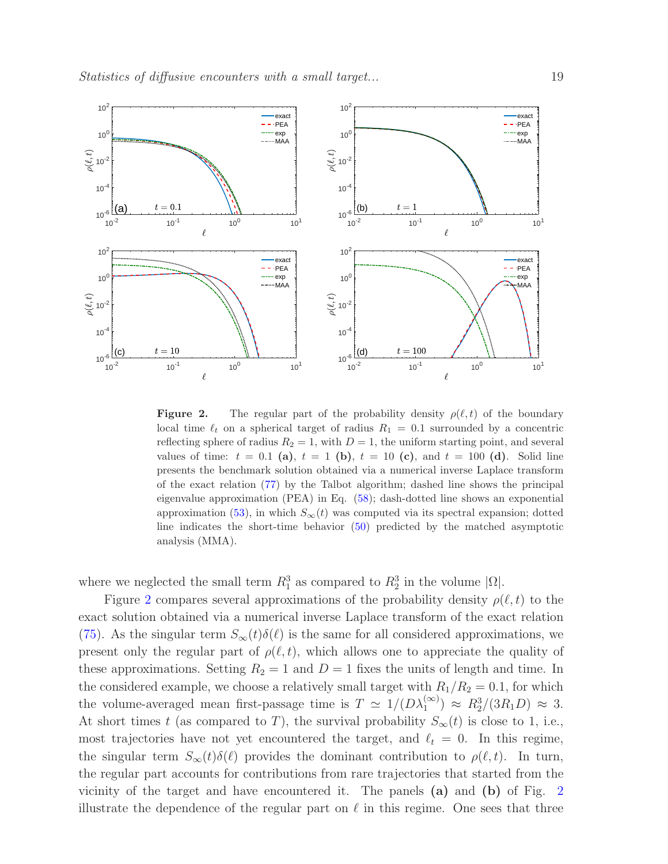

<span id="page-18-0"></span>**Figure 2.** The regular part of the probability density  $\rho(\ell, t)$  of the boundary local time  $\ell_t$  on a spherical target of radius  $R_1 = 0.1$  surrounded by a concentric reflecting sphere of radius  $R_2 = 1$ , with  $D = 1$ , the uniform starting point, and several values of time:  $t = 0.1$  (a),  $t = 1$  (b),  $t = 10$  (c), and  $t = 100$  (d). Solid line presents the benchmark solution obtained via a numerical inverse Laplace transform of the exact relation [\(77\)](#page-17-1) by the Talbot algorithm; dashed line shows the principal eigenvalue approximation (PEA) in Eq. [\(58\)](#page-13-0); dash-dotted line shows an exponential approximation [\(53\)](#page-11-3), in which  $S_{\infty}(t)$  was computed via its spectral expansion; dotted line indicates the short-time behavior [\(50\)](#page-11-1) predicted by the matched asymptotic analysis (MMA).

where we neglected the small term  $R_1^3$  as compared to  $R_2^3$  in the volume  $|\Omega|$ .

Figure [2](#page-18-0) compares several approximations of the probability density  $\rho(\ell, t)$  to the exact solution obtained via a numerical inverse Laplace transform of the exact relation [\(75\)](#page-16-2). As the singular term  $S_{\infty}(t)\delta(\ell)$  is the same for all considered approximations, we present only the regular part of  $\rho(\ell, t)$ , which allows one to appreciate the quality of these approximations. Setting  $R_2 = 1$  and  $D = 1$  fixes the units of length and time. In the considered example, we choose a relatively small target with  $R_1/R_2 = 0.1$ , for which the volume-averaged mean first-passage time is  $T \simeq 1/(D\lambda_1^{(\infty)}) \approx R_2^3/(3R_1D) \approx 3$ . At short times t (as compared to T), the survival probability  $S_{\infty}(t)$  is close to 1, i.e., most trajectories have not yet encountered the target, and  $\ell_t = 0$ . In this regime, the singular term  $S_{\infty}(t)\delta(\ell)$  provides the dominant contribution to  $\rho(\ell,t)$ . In turn, the regular part accounts for contributions from rare trajectories that started from the vicinity of the target and have encountered it. The panels (a) and (b) of Fig. [2](#page-18-0) illustrate the dependence of the regular part on  $\ell$  in this regime. One sees that three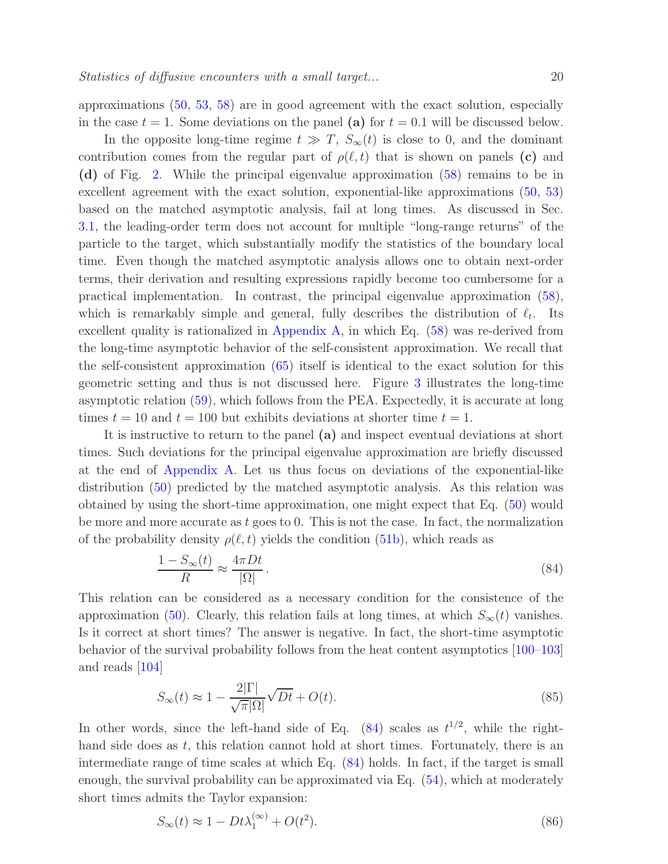approximations [\(50,](#page-11-1) [53,](#page-11-3) [58\)](#page-13-0) are in good agreement with the exact solution, especially in the case  $t = 1$ . Some deviations on the panel (a) for  $t = 0.1$  will be discussed below.

In the opposite long-time regime  $t \gg T$ ,  $S_{\infty}(t)$  is close to 0, and the dominant contribution comes from the regular part of  $\rho(\ell,t)$  that is shown on panels (c) and (d) of Fig. [2.](#page-18-0) While the principal eigenvalue approximation [\(58\)](#page-13-0) remains to be in excellent agreement with the exact solution, exponential-like approximations [\(50,](#page-11-1) [53\)](#page-11-3) based on the matched asymptotic analysis, fail at long times. As discussed in Sec. [3.1,](#page-8-1) the leading-order term does not account for multiple "long-range returns" of the particle to the target, which substantially modify the statistics of the boundary local time. Even though the matched asymptotic analysis allows one to obtain next-order terms, their derivation and resulting expressions rapidly become too cumbersome for a practical implementation. In contrast, the principal eigenvalue approximation [\(58\)](#page-13-0), which is remarkably simple and general, fully describes the distribution of  $\ell_t$ . Its excellent quality is rationalized in [Appendix A,](#page-24-0) in which Eq. [\(58\)](#page-13-0) was re-derived from the long-time asymptotic behavior of the self-consistent approximation. We recall that the self-consistent approximation [\(65\)](#page-14-1) itself is identical to the exact solution for this geometric setting and thus is not discussed here. Figure [3](#page-20-0) illustrates the long-time asymptotic relation [\(59\)](#page-13-1), which follows from the PEA. Expectedly, it is accurate at long times  $t = 10$  and  $t = 100$  but exhibits deviations at shorter time  $t = 1$ .

It is instructive to return to the panel (a) and inspect eventual deviations at short times. Such deviations for the principal eigenvalue approximation are briefly discussed at the end of [Appendix A.](#page-24-0) Let us thus focus on deviations of the exponential-like distribution [\(50\)](#page-11-1) predicted by the matched asymptotic analysis. As this relation was obtained by using the short-time approximation, one might expect that Eq. [\(50\)](#page-11-1) would be more and more accurate as  $t$  goes to 0. This is not the case. In fact, the normalization of the probability density  $\rho(\ell, t)$  yields the condition [\(51b\)](#page-11-4), which reads as

<span id="page-19-0"></span>
$$
\frac{1 - S_{\infty}(t)}{R} \approx \frac{4\pi Dt}{|\Omega|}.
$$
\n(84)

This relation can be considered as a necessary condition for the consistence of the approximation [\(50\)](#page-11-1). Clearly, this relation fails at long times, at which  $S_{\infty}(t)$  vanishes. Is it correct at short times? The answer is negative. In fact, the short-time asymptotic behavior of the survival probability follows from the heat content asymptotics [\[100](#page-32-14)[–103\]](#page-32-15) and reads [\[104\]](#page-33-0)

$$
S_{\infty}(t) \approx 1 - \frac{2|\Gamma|}{\sqrt{\pi}|\Omega|} \sqrt{Dt} + O(t). \tag{85}
$$

In other words, since the left-hand side of Eq.  $(84)$  scales as  $t^{1/2}$ , while the righthand side does as  $t$ , this relation cannot hold at short times. Fortunately, there is an intermediate range of time scales at which Eq. [\(84\)](#page-19-0) holds. In fact, if the target is small enough, the survival probability can be approximated via Eq. [\(54\)](#page-12-2), which at moderately short times admits the Taylor expansion: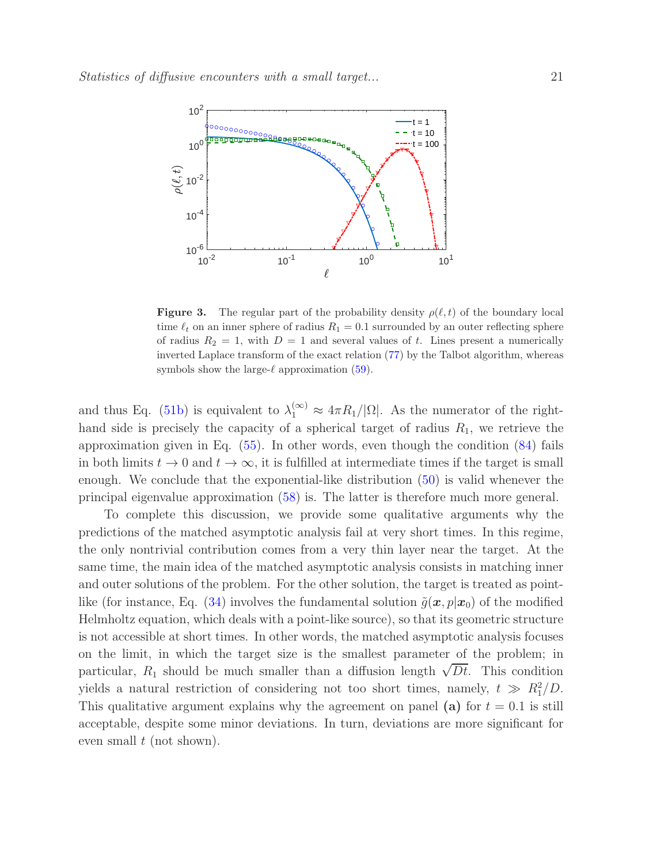

<span id="page-20-0"></span>**Figure 3.** The regular part of the probability density  $\rho(\ell,t)$  of the boundary local time  $\ell_t$  on an inner sphere of radius  $R_1 = 0.1$  surrounded by an outer reflecting sphere of radius  $R_2 = 1$ , with  $D = 1$  and several values of t. Lines present a numerically inverted Laplace transform of the exact relation [\(77\)](#page-17-1) by the Talbot algorithm, whereas symbols show the large- $\ell$  approximation [\(59\)](#page-13-1).

and thus Eq. [\(51b\)](#page-11-4) is equivalent to  $\lambda_1^{(\infty)} \approx 4\pi R_1/|\Omega|$ . As the numerator of the righthand side is precisely the capacity of a spherical target of radius  $R_1$ , we retrieve the approximation given in Eq. [\(55\)](#page-12-1). In other words, even though the condition [\(84\)](#page-19-0) fails in both limits  $t \to 0$  and  $t \to \infty$ , it is fulfilled at intermediate times if the target is small enough. We conclude that the exponential-like distribution [\(50\)](#page-11-1) is valid whenever the principal eigenvalue approximation [\(58\)](#page-13-0) is. The latter is therefore much more general.

To complete this discussion, we provide some qualitative arguments why the predictions of the matched asymptotic analysis fail at very short times. In this regime, the only nontrivial contribution comes from a very thin layer near the target. At the same time, the main idea of the matched asymptotic analysis consists in matching inner and outer solutions of the problem. For the other solution, the target is treated as point-like (for instance, Eq. [\(34\)](#page-8-3) involves the fundamental solution  $\tilde{g}(x, p|x_0)$  of the modified Helmholtz equation, which deals with a point-like source), so that its geometric structure is not accessible at short times. In other words, the matched asymptotic analysis focuses on the limit, in which the target size is the smallest parameter of the problem; in particular,  $R_1$  should be much smaller than a diffusion length  $\sqrt{Dt}$ . This condition yields a natural restriction of considering not too short times, namely,  $t \gg R_1^2/D$ . This qualitative argument explains why the agreement on panel (a) for  $t = 0.1$  is still acceptable, despite some minor deviations. In turn, deviations are more significant for even small  $t$  (not shown).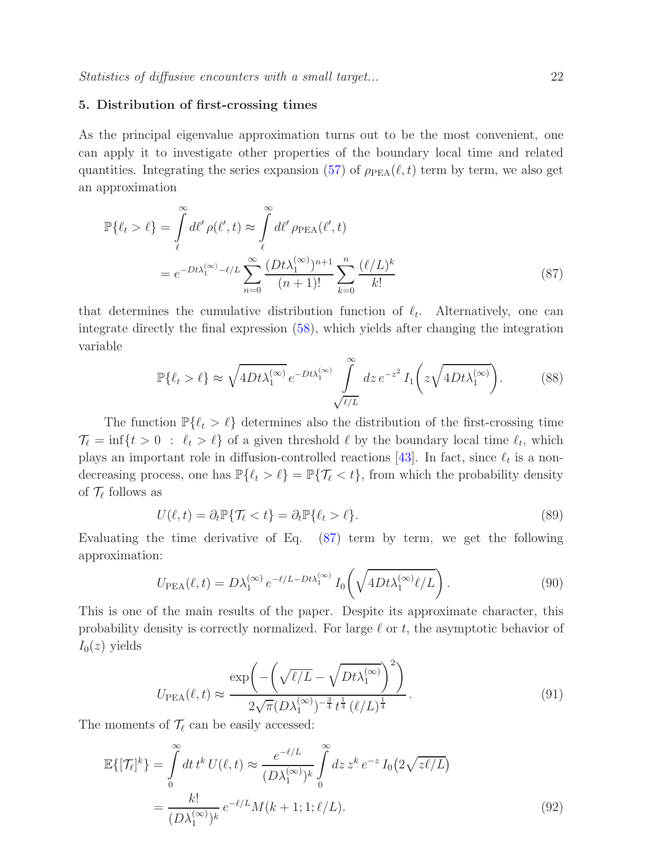## <span id="page-21-0"></span>5. Distribution of first-crossing times

As the principal eigenvalue approximation turns out to be the most convenient, one can apply it to investigate other properties of the boundary local time and related quantities. Integrating the series expansion [\(57\)](#page-12-3) of  $\rho_{PEA}(\ell, t)$  term by term, we also get an approximation

$$
\mathbb{P}\{\ell_t > \ell\} = \int\limits_{\ell}^{\infty} d\ell' \rho(\ell', t) \approx \int\limits_{\ell}^{\infty} d\ell' \rho_{\text{PEA}}(\ell', t)
$$

$$
= e^{-Dt\lambda_1^{(\infty)} - \ell/L} \sum_{n=0}^{\infty} \frac{(Dt\lambda_1^{(\infty)})^{n+1}}{(n+1)!} \sum_{k=0}^{n} \frac{(\ell/L)^k}{k!}
$$
(87)

that determines the cumulative distribution function of  $\ell_t$ . Alternatively, one can integrate directly the final expression [\(58\)](#page-13-0), which yields after changing the integration variable

<span id="page-21-2"></span>
$$
\mathbb{P}\{\ell_t > \ell\} \approx \sqrt{4Dt\lambda_1^{(\infty)}} \, e^{-Dt\lambda_1^{(\infty)}} \int\limits_{\sqrt{\ell/L}}^{\infty} dz \, e^{-z^2} \, I_1\bigg(z\sqrt{4Dt\lambda_1^{(\infty)}}\bigg). \tag{88}
$$

The function  $\mathbb{P}\{\ell_t > \ell\}$  determines also the distribution of the first-crossing time  $\mathcal{T}_{\ell} = \inf\{t > 0 : \ell_t > \ell\}$  of a given threshold  $\ell$  by the boundary local time  $\ell_t$ , which plays an important role in diffusion-controlled reactions [\[43\]](#page-30-4). In fact, since  $\ell_t$  is a nondecreasing process, one has  $\mathbb{P}\{\ell_t > \ell\} = \mathbb{P}\{\mathcal{T}_{\ell} < t\}$ , from which the probability density of  $\mathcal{T}_{\ell}$  follows as

$$
U(\ell, t) = \partial_t \mathbb{P} \{ \mathcal{T}_{\ell} < t \} = \partial_t \mathbb{P} \{ \ell_t > \ell \}. \tag{89}
$$

Evaluating the time derivative of Eq. [\(87\)](#page-21-2) term by term, we get the following approximation:

<span id="page-21-1"></span>
$$
U_{\text{PEA}}(\ell, t) = D\lambda_1^{(\infty)} e^{-\ell/L - Dt\lambda_1^{(\infty)}} I_0\left(\sqrt{4Dt\lambda_1^{(\infty)}\ell/L}\right).
$$
\n(90)

This is one of the main results of the paper. Despite its approximate character, this probability density is correctly normalized. For large  $\ell$  or  $t$ , the asymptotic behavior of  $I_0(z)$  yields

$$
U_{\rm PEA}(\ell, t) \approx \frac{\exp\left(-\left(\sqrt{\ell/L} - \sqrt{Dt\lambda_1^{(\infty)}}\right)^2\right)}{2\sqrt{\pi}(D\lambda_1^{(\infty)})^{-\frac{3}{4}}t^{\frac{1}{4}}(\ell/L)^{\frac{1}{4}}}.
$$
\n(91)

The moments of  $\mathcal{T}_{\ell}$  can be easily accessed:

$$
\mathbb{E}\{[\mathcal{T}_{\ell}]^{k}\} = \int_{0}^{\infty} dt \, t^{k} \, U(\ell, t) \approx \frac{e^{-\ell/L}}{(D\lambda_{1}^{(\infty)})^{k}} \int_{0}^{\infty} dz \, z^{k} \, e^{-z} \, I_{0}\big(2\sqrt{z\ell/L}\big)
$$
\n
$$
= \frac{k!}{(D\lambda_{1}^{(\infty)})^{k}} \, e^{-\ell/L} M(k+1; 1; \ell/L). \tag{92}
$$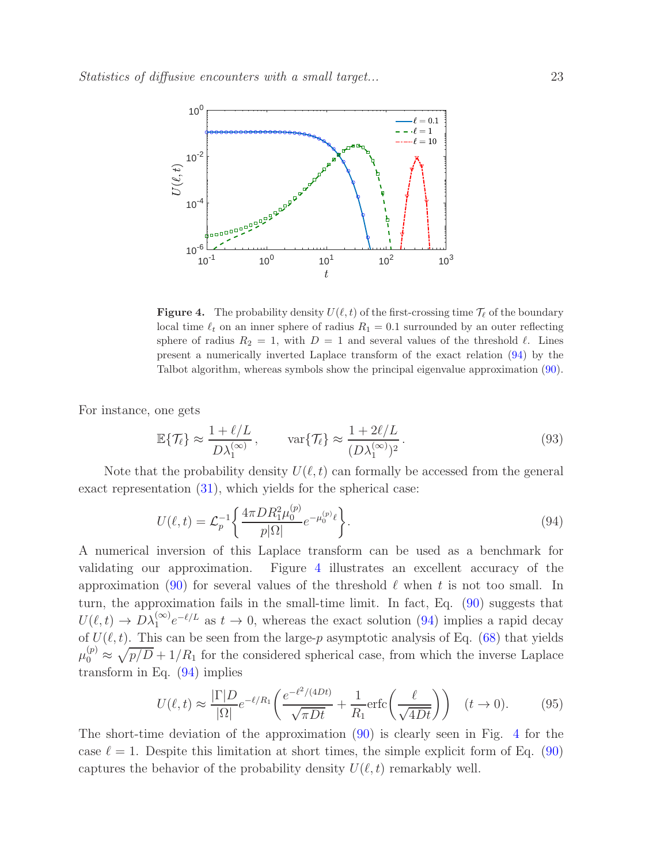

<span id="page-22-1"></span>**Figure 4.** The probability density  $U(\ell,t)$  of the first-crossing time  $\mathcal{T}_{\ell}$  of the boundary local time  $\ell_t$  on an inner sphere of radius  $R_1 = 0.1$  surrounded by an outer reflecting sphere of radius  $R_2 = 1$ , with  $D = 1$  and several values of the threshold  $\ell$ . Lines present a numerically inverted Laplace transform of the exact relation [\(94\)](#page-22-0) by the Talbot algorithm, whereas symbols show the principal eigenvalue approximation [\(90\)](#page-21-1).

For instance, one gets

$$
\mathbb{E}\{\mathcal{T}_{\ell}\} \approx \frac{1+\ell/L}{D\lambda_1^{(\infty)}}, \qquad \text{var}\{\mathcal{T}_{\ell}\} \approx \frac{1+2\ell/L}{(D\lambda_1^{(\infty)})^2}.
$$
\n(93)

Note that the probability density  $U(\ell,t)$  can formally be accessed from the general exact representation [\(31\)](#page-7-5), which yields for the spherical case:

<span id="page-22-0"></span>
$$
U(\ell, t) = \mathcal{L}_p^{-1} \left\{ \frac{4\pi D R_1^2 \mu_0^{(p)}}{p|\Omega|} e^{-\mu_0^{(p)} \ell} \right\}.
$$
\n(94)

A numerical inversion of this Laplace transform can be used as a benchmark for validating our approximation. Figure [4](#page-22-1) illustrates an excellent accuracy of the approximation [\(90\)](#page-21-1) for several values of the threshold  $\ell$  when t is not too small. In turn, the approximation fails in the small-time limit. In fact, Eq. [\(90\)](#page-21-1) suggests that  $U(\ell, t) \to D\lambda_1^{(\infty)}e^{-\ell/L}$  as  $t \to 0$ , whereas the exact solution [\(94\)](#page-22-0) implies a rapid decay of  $U(\ell, t)$ . This can be seen from the large-p asymptotic analysis of Eq. [\(68\)](#page-16-4) that yields  $\mu_0^{(p)} \approx \sqrt{p/D} + 1/R_1$  for the considered spherical case, from which the inverse Laplace transform in Eq. [\(94\)](#page-22-0) implies

$$
U(\ell, t) \approx \frac{|\Gamma| D}{|\Omega|} e^{-\ell/R_1} \left( \frac{e^{-\ell^2/(4Dt)}}{\sqrt{\pi Dt}} + \frac{1}{R_1} \text{erfc} \left( \frac{\ell}{\sqrt{4Dt}} \right) \right) \quad (t \to 0). \tag{95}
$$

The short-time deviation of the approximation [\(90\)](#page-21-1) is clearly seen in Fig. [4](#page-22-1) for the case  $\ell = 1$ . Despite this limitation at short times, the simple explicit form of Eq. [\(90\)](#page-21-1) captures the behavior of the probability density  $U(\ell, t)$  remarkably well.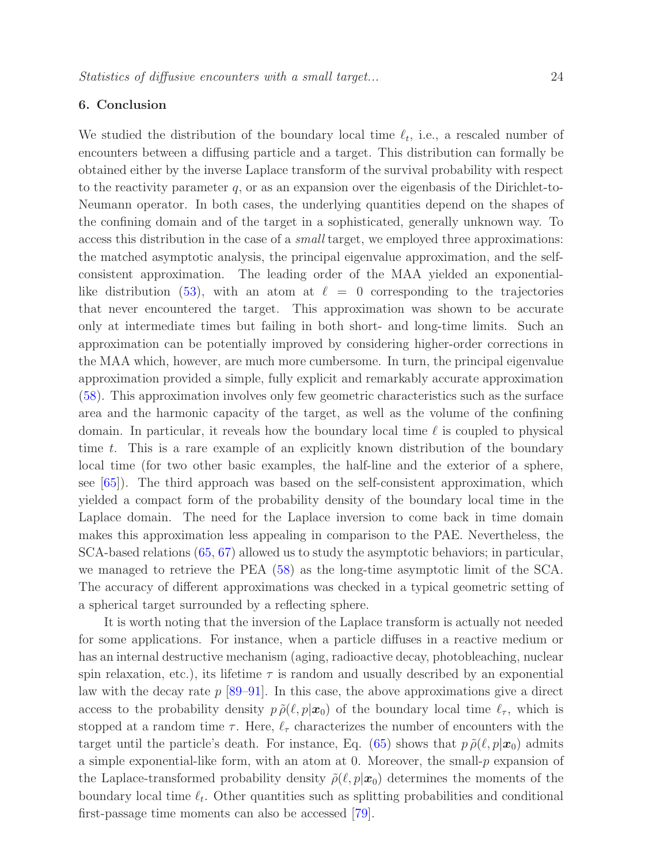# <span id="page-23-0"></span>6. Conclusion

We studied the distribution of the boundary local time  $\ell_t$ , i.e., a rescaled number of encounters between a diffusing particle and a target. This distribution can formally be obtained either by the inverse Laplace transform of the survival probability with respect to the reactivity parameter  $q$ , or as an expansion over the eigenbasis of the Dirichlet-to-Neumann operator. In both cases, the underlying quantities depend on the shapes of the confining domain and of the target in a sophisticated, generally unknown way. To access this distribution in the case of a small target, we employed three approximations: the matched asymptotic analysis, the principal eigenvalue approximation, and the selfconsistent approximation. The leading order of the MAA yielded an exponential-like distribution [\(53\)](#page-11-3), with an atom at  $\ell = 0$  corresponding to the trajectories that never encountered the target. This approximation was shown to be accurate only at intermediate times but failing in both short- and long-time limits. Such an approximation can be potentially improved by considering higher-order corrections in the MAA which, however, are much more cumbersome. In turn, the principal eigenvalue approximation provided a simple, fully explicit and remarkably accurate approximation [\(58\)](#page-13-0). This approximation involves only few geometric characteristics such as the surface area and the harmonic capacity of the target, as well as the volume of the confining domain. In particular, it reveals how the boundary local time  $\ell$  is coupled to physical time t. This is a rare example of an explicitly known distribution of the boundary local time (for two other basic examples, the half-line and the exterior of a sphere, see [\[65\]](#page-31-5)). The third approach was based on the self-consistent approximation, which yielded a compact form of the probability density of the boundary local time in the Laplace domain. The need for the Laplace inversion to come back in time domain makes this approximation less appealing in comparison to the PAE. Nevertheless, the SCA-based relations [\(65,](#page-14-1) [67\)](#page-15-0) allowed us to study the asymptotic behaviors; in particular, we managed to retrieve the PEA [\(58\)](#page-13-0) as the long-time asymptotic limit of the SCA. The accuracy of different approximations was checked in a typical geometric setting of a spherical target surrounded by a reflecting sphere.

It is worth noting that the inversion of the Laplace transform is actually not needed for some applications. For instance, when a particle diffuses in a reactive medium or has an internal destructive mechanism (aging, radioactive decay, photobleaching, nuclear spin relaxation, etc.), its lifetime  $\tau$  is random and usually described by an exponential law with the decay rate  $p$  [\[89–](#page-32-9)[91\]](#page-32-10). In this case, the above approximations give a direct access to the probability density  $p \tilde{\rho}(\ell, p|\mathbf{x}_0)$  of the boundary local time  $\ell_{\tau}$ , which is stopped at a random time  $\tau$ . Here,  $\ell_{\tau}$  characterizes the number of encounters with the target until the particle's death. For instance, Eq. [\(65\)](#page-14-1) shows that  $p \tilde{\rho}(\ell, p | \mathbf{x}_0)$  admits a simple exponential-like form, with an atom at 0. Moreover, the small- $p$  expansion of the Laplace-transformed probability density  $\tilde{\rho}(\ell, p|\mathbf{x}_0)$  determines the moments of the boundary local time  $\ell_t$ . Other quantities such as splitting probabilities and conditional first-passage time moments can also be accessed [\[79\]](#page-32-2).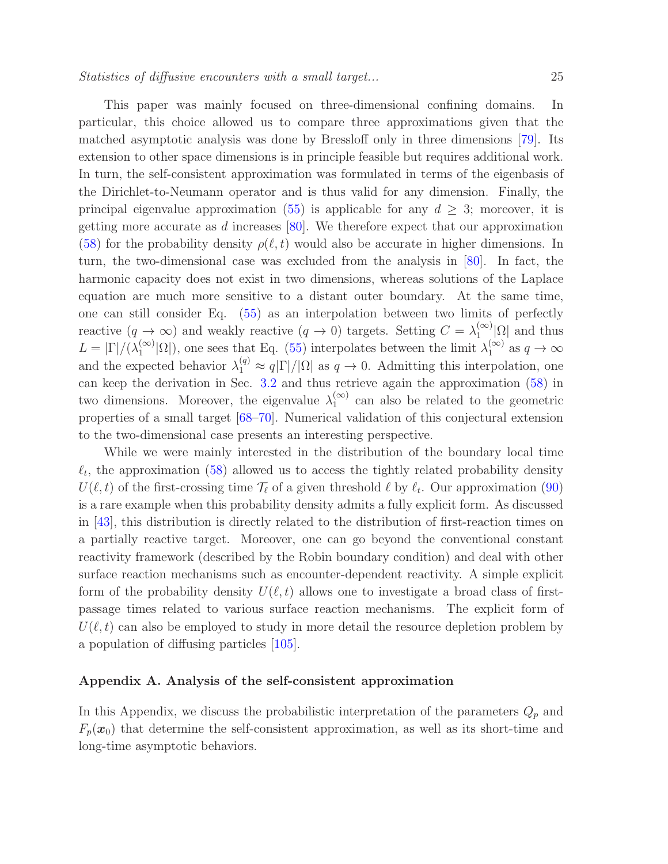This paper was mainly focused on three-dimensional confining domains. In particular, this choice allowed us to compare three approximations given that the matched asymptotic analysis was done by Bressloff only in three dimensions [\[79\]](#page-32-2). Its extension to other space dimensions is in principle feasible but requires additional work. In turn, the self-consistent approximation was formulated in terms of the eigenbasis of the Dirichlet-to-Neumann operator and is thus valid for any dimension. Finally, the principal eigenvalue approximation [\(55\)](#page-12-1) is applicable for any  $d \geq 3$ ; moreover, it is getting more accurate as d increases [\[80\]](#page-32-3). We therefore expect that our approximation [\(58\)](#page-13-0) for the probability density  $\rho(\ell,t)$  would also be accurate in higher dimensions. In turn, the two-dimensional case was excluded from the analysis in [\[80\]](#page-32-3). In fact, the harmonic capacity does not exist in two dimensions, whereas solutions of the Laplace equation are much more sensitive to a distant outer boundary. At the same time, one can still consider Eq. [\(55\)](#page-12-1) as an interpolation between two limits of perfectly reactive  $(q \to \infty)$  and weakly reactive  $(q \to 0)$  targets. Setting  $C = \lambda_1^{(\infty)}$  $\int_{1}^{(\infty)} |\Omega|$  and thus  $L = |\Gamma|/(\lambda_1^{(\infty)})$  $\binom{\infty}{1}|\Omega|$ , one sees that Eq. [\(55\)](#page-12-1) interpolates between the limit  $\lambda_1^{(\infty)}$  $j_1^{(\infty)}$  as  $q \to \infty$ and the expected behavior  $\lambda_1^{(q)} \approx q|\Gamma|/|\Omega|$  as  $q \to 0$ . Admitting this interpolation, one can keep the derivation in Sec. [3.2](#page-12-0) and thus retrieve again the approximation [\(58\)](#page-13-0) in two dimensions. Moreover, the eigenvalue  $\lambda_1^{(\infty)}$  $_1^{\infty}$  can also be related to the geometric properties of a small target [\[68](#page-31-3)[–70\]](#page-31-6). Numerical validation of this conjectural extension to the two-dimensional case presents an interesting perspective.

While we were mainly interested in the distribution of the boundary local time  $\ell_t$ , the approximation [\(58\)](#page-13-0) allowed us to access the tightly related probability density  $U(\ell, t)$  of the first-crossing time  $\mathcal{T}_{\ell}$  of a given threshold  $\ell$  by  $\ell_t$ . Our approximation [\(90\)](#page-21-1) is a rare example when this probability density admits a fully explicit form. As discussed in [\[43\]](#page-30-4), this distribution is directly related to the distribution of first-reaction times on a partially reactive target. Moreover, one can go beyond the conventional constant reactivity framework (described by the Robin boundary condition) and deal with other surface reaction mechanisms such as encounter-dependent reactivity. A simple explicit form of the probability density  $U(\ell, t)$  allows one to investigate a broad class of firstpassage times related to various surface reaction mechanisms. The explicit form of  $U(\ell,t)$  can also be employed to study in more detail the resource depletion problem by a population of diffusing particles [\[105\]](#page-33-1).

# <span id="page-24-0"></span>Appendix A. Analysis of the self-consistent approximation

In this Appendix, we discuss the probabilistic interpretation of the parameters  $Q_p$  and  $F_p(x_0)$  that determine the self-consistent approximation, as well as its short-time and long-time asymptotic behaviors.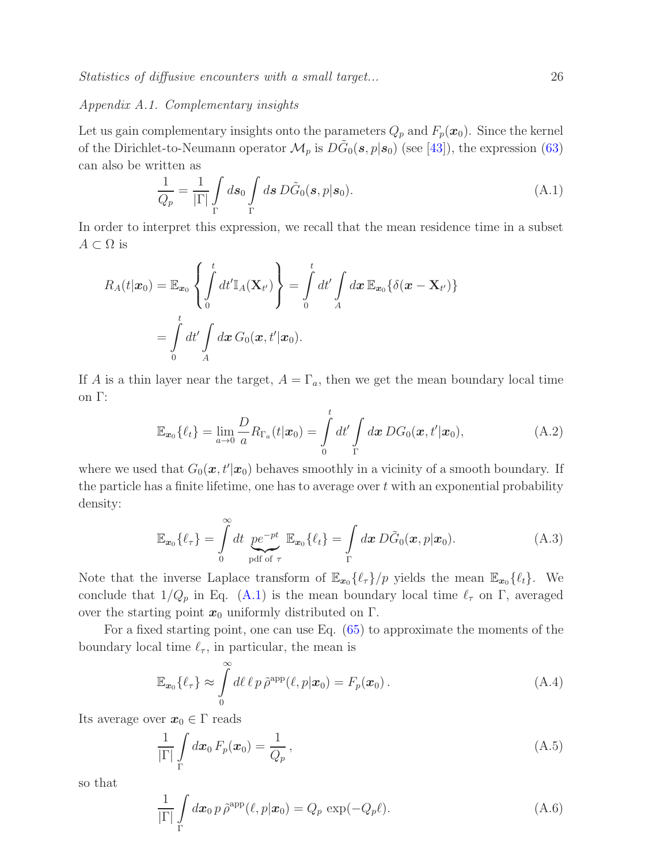Statistics of diffusive encounters with a small target... 26

# Appendix A.1. Complementary insights

Let us gain complementary insights onto the parameters  $Q_p$  and  $F_p(x_0)$ . Since the kernel of the Dirichlet-to-Neumann operator  $\mathcal{M}_p$  is  $D\tilde{G}_0(s,p|s_0)$  (see [\[43\]](#page-30-4)), the expression [\(63\)](#page-14-2) can also be written as

<span id="page-25-0"></span>
$$
\frac{1}{Q_p} = \frac{1}{|\Gamma|} \int_{\Gamma} ds_0 \int_{\Gamma} ds \, D\tilde{G}_0(s, p|s_0). \tag{A.1}
$$

In order to interpret this expression, we recall that the mean residence time in a subset  $A \subset \Omega$  is

$$
R_A(t|\boldsymbol{x}_0) = \mathbb{E}_{\boldsymbol{x}_0} \left\{ \int_0^t dt' \mathbb{I}_A(\mathbf{X}_{t'}) \right\} = \int_0^t dt' \int_A d\boldsymbol{x} \, \mathbb{E}_{\boldsymbol{x}_0} \{ \delta(\boldsymbol{x} - \mathbf{X}_{t'}) \}
$$
  
= 
$$
\int_0^t dt' \int_A d\boldsymbol{x} \, G_0(\boldsymbol{x}, t' | \boldsymbol{x}_0).
$$

If A is a thin layer near the target,  $A = \Gamma_a$ , then we get the mean boundary local time on Γ:

$$
\mathbb{E}_{\boldsymbol{x}_0}\{\ell_t\} = \lim_{a \to 0} \frac{D}{a} R_{\Gamma_a}(t|\boldsymbol{x}_0) = \int_0^t dt' \int_{\Gamma} d\boldsymbol{x} \, DG_0(\boldsymbol{x}, t'|\boldsymbol{x}_0), \tag{A.2}
$$

where we used that  $G_0(\mathbf{x}, t'|\mathbf{x}_0)$  behaves smoothly in a vicinity of a smooth boundary. If the particle has a finite lifetime, one has to average over  $t$  with an exponential probability density:

$$
\mathbb{E}_{\mathbf{x}_0}\{\ell_{\tau}\} = \int\limits_0^{\infty} dt \underbrace{p e^{-pt}}_{\text{pdf of }\tau} \mathbb{E}_{\mathbf{x}_0}\{\ell_t\} = \int\limits_{\Gamma} dx \, D\tilde{G}_0(\mathbf{x}, p|\mathbf{x}_0). \tag{A.3}
$$

Note that the inverse Laplace transform of  $\mathbb{E}_{x_0} \{\ell_{\tau}\}/p$  yields the mean  $\mathbb{E}_{x_0} \{\ell_t\}$ . We conclude that  $1/Q_p$  in Eq. [\(A.1\)](#page-25-0) is the mean boundary local time  $\ell_{\tau}$  on  $\Gamma$ , averaged over the starting point  $x_0$  uniformly distributed on  $\Gamma$ .

For a fixed starting point, one can use Eq. [\(65\)](#page-14-1) to approximate the moments of the boundary local time  $\ell_{\tau}$ , in particular, the mean is

$$
\mathbb{E}_{\boldsymbol{x}_0}\{\ell_{\tau}\} \approx \int\limits_0^{\infty} d\ell \,\ell \, p \,\tilde{\rho}^{\rm app}(\ell, p|\boldsymbol{x}_0) = F_p(\boldsymbol{x}_0) \,. \tag{A.4}
$$

Its average over  $x_0 \in \Gamma$  reads

$$
\frac{1}{|\Gamma|} \int\limits_{\Gamma} d\boldsymbol{x}_0 \, F_p(\boldsymbol{x}_0) = \frac{1}{Q_p} \,, \tag{A.5}
$$

so that

$$
\frac{1}{|\Gamma|} \int\limits_{\Gamma} d\boldsymbol{x}_0 \, p \, \tilde{\rho}^{\text{app}}(\ell, p | \boldsymbol{x}_0) = Q_p \, \exp(-Q_p \ell). \tag{A.6}
$$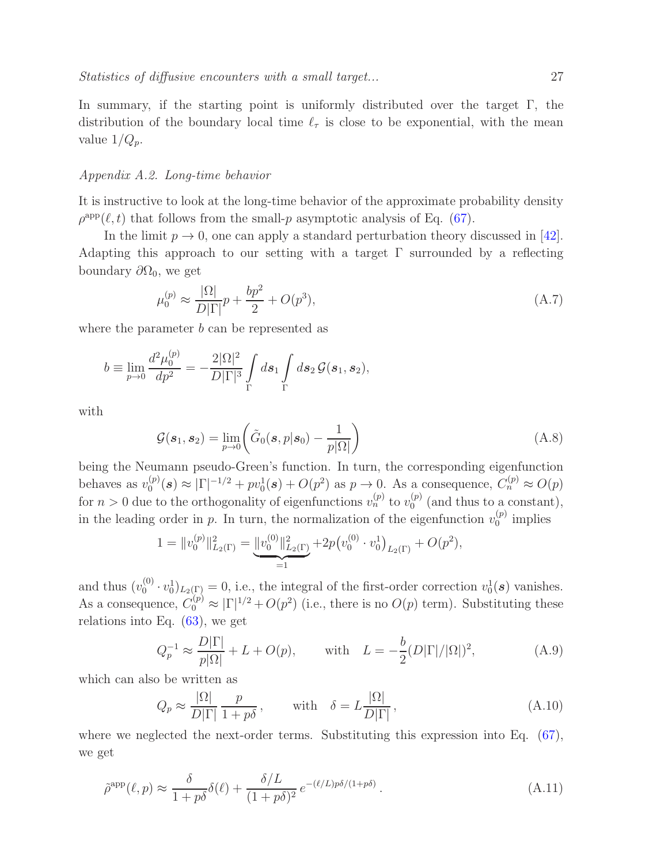In summary, if the starting point is uniformly distributed over the target Γ, the distribution of the boundary local time  $\ell_{\tau}$  is close to be exponential, with the mean value  $1/Q_p$ .

#### Appendix A.2. Long-time behavior

It is instructive to look at the long-time behavior of the approximate probability density  $\rho^{\text{app}}(\ell, t)$  that follows from the small-p asymptotic analysis of Eq. [\(67\)](#page-15-0).

In the limit  $p \to 0$ , one can apply a standard perturbation theory discussed in [\[42\]](#page-30-3). Adapting this approach to our setting with a target  $\Gamma$  surrounded by a reflecting boundary  $\partial\Omega_0$ , we get

$$
\mu_0^{(p)} \approx \frac{|\Omega|}{D|\Gamma|} p + \frac{bp^2}{2} + O(p^3),\tag{A.7}
$$

where the parameter  $b$  can be represented as

$$
b \equiv \lim_{p \to 0} \frac{d^2 \mu_0^{(p)}}{dp^2} = -\frac{2|\Omega|^2}{D|\Gamma|^3} \int_{\Gamma} ds_1 \int_{\Gamma} ds_2 \mathcal{G}(s_1, s_2),
$$

with

$$
\mathcal{G}(\boldsymbol{s}_1, \boldsymbol{s}_2) = \lim_{p \to 0} \left( \tilde{G}_0(\boldsymbol{s}, p | \boldsymbol{s}_0) - \frac{1}{p | \Omega |} \right) \tag{A.8}
$$

being the Neumann pseudo-Green's function. In turn, the corresponding eigenfunction behaves as  $v_0^{(p)}$  $\mathcal{O}_0^{(p)}(\mathbf{s}) \approx |\Gamma|^{-1/2} + pv_0^1(\mathbf{s}) + O(p^2)$  as  $p \to 0$ . As a consequence,  $C_n^{(p)} \approx O(p)$ for  $n > 0$  due to the orthogonality of eigenfunctions  $v_n^{(p)}$  to  $v_0^{(p)}$  $_{0}^{(p)}$  (and thus to a constant), in the leading order in p. In turn, the normalization of the eigenfunction  $v_0^{(p)}$  $\binom{p}{0}$  implies

$$
1 = ||v_0^{(p)}||_{L_2(\Gamma)}^2 = \underbrace{||v_0^{(0)}||_{L_2(\Gamma)}^2}_{=1} + 2p(v_0^{(0)} \cdot v_0^1)_{L_2(\Gamma)} + O(p^2),
$$

and thus  $(v_0^{(0)}$  $(v_0^{(0)} \cdot v_0^{1})_{L_2(\Gamma)} = 0$ , i.e., the integral of the first-order correction  $v_0^{1}(\mathbf{s})$  vanishes. As a consequence,  $C_0^{(p)} \approx |\Gamma|^{1/2} + O(p^2)$  (i.e., there is no  $O(p)$  term). Substituting these relations into Eq. [\(63\)](#page-14-2), we get

$$
Q_p^{-1} \approx \frac{D|\Gamma|}{p|\Omega|} + L + O(p), \quad \text{with} \quad L = -\frac{b}{2}(D|\Gamma|/|\Omega|)^2,\tag{A.9}
$$

which can also be written as

$$
Q_p \approx \frac{|\Omega|}{D|\Gamma|} \frac{p}{1+p\delta}, \quad \text{with} \quad \delta = L \frac{|\Omega|}{D|\Gamma|}, \tag{A.10}
$$

where we neglected the next-order terms. Substituting this expression into Eq.  $(67)$ , we get

$$
\tilde{\rho}^{\rm app}(\ell, p) \approx \frac{\delta}{1 + p\delta} \delta(\ell) + \frac{\delta/L}{(1 + p\delta)^2} e^{-(\ell/L)p\delta/(1 + p\delta)}.
$$
\n(A.11)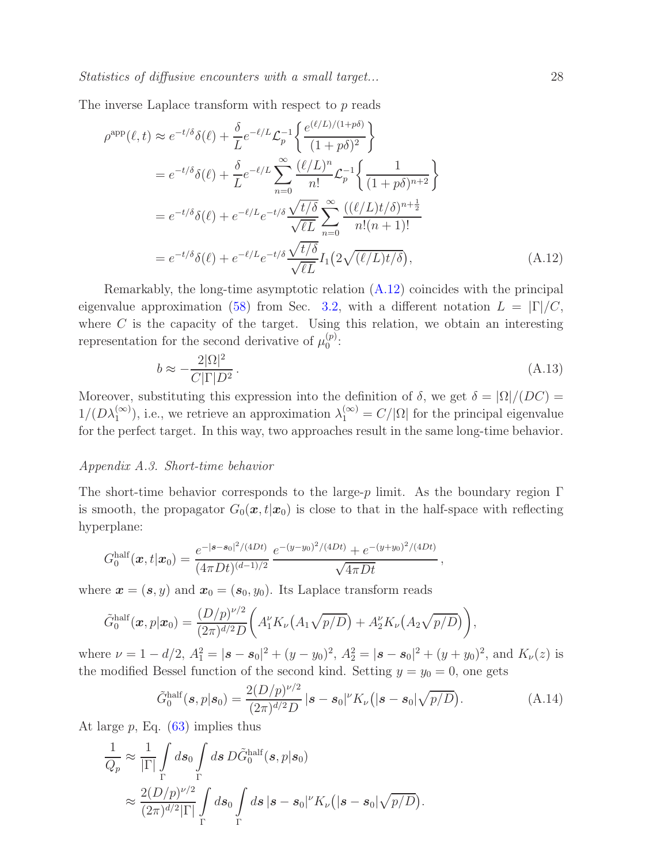The inverse Laplace transform with respect to p reads

$$
\rho^{\text{app}}(\ell, t) \approx e^{-t/\delta} \delta(\ell) + \frac{\delta}{L} e^{-\ell/L} \mathcal{L}_p^{-1} \left\{ \frac{e^{(\ell/L)/(1+p\delta)}}{(1+p\delta)^2} \right\}
$$
  
\n
$$
= e^{-t/\delta} \delta(\ell) + \frac{\delta}{L} e^{-\ell/L} \sum_{n=0}^{\infty} \frac{(\ell/L)^n}{n!} \mathcal{L}_p^{-1} \left\{ \frac{1}{(1+p\delta)^{n+2}} \right\}
$$
  
\n
$$
= e^{-t/\delta} \delta(\ell) + e^{-\ell/L} e^{-t/\delta} \frac{\sqrt{t/\delta}}{\sqrt{\ell L}} \sum_{n=0}^{\infty} \frac{((\ell/L)t/\delta)^{n+\frac{1}{2}}}{n!(n+1)!}
$$
  
\n
$$
= e^{-t/\delta} \delta(\ell) + e^{-\ell/L} e^{-t/\delta} \frac{\sqrt{t/\delta}}{\sqrt{\ell L}} I_1(2\sqrt{(\ell/L)t/\delta}), \tag{A.12}
$$

Remarkably, the long-time asymptotic relation [\(A.12\)](#page-27-0) coincides with the principal eigenvalue approximation [\(58\)](#page-13-0) from Sec. [3.2,](#page-12-0) with a different notation  $L = |\Gamma|/C$ , where  $C$  is the capacity of the target. Using this relation, we obtain an interesting representation for the second derivative of  $\mu_0^{(p)}$  $0^{(p)}$ :

$$
b \approx -\frac{2|\Omega|^2}{C|\Gamma|D^2}.\tag{A.13}
$$

Moreover, substituting this expression into the definition of  $\delta$ , we get  $\delta = |\Omega|/(DC)$  $1/(D\lambda_1^{(\infty)})$ , i.e., we retrieve an approximation  $\lambda_1^{(\infty)} = C/|\Omega|$  for the principal eigenvalue for the perfect target. In this way, two approaches result in the same long-time behavior.

#### Appendix A.3. Short-time behavior

The short-time behavior corresponds to the large-p limit. As the boundary region  $\Gamma$ is smooth, the propagator  $G_0(\mathbf{x}, t|\mathbf{x}_0)$  is close to that in the half-space with reflecting hyperplane:

$$
G_0^{\text{half}}(\boldsymbol{x},t|\boldsymbol{x}_0) = \frac{e^{-|\boldsymbol{s}-\boldsymbol{s}_0|^2/(4Dt)}}{(4\pi Dt)^{(d-1)/2}} \frac{e^{-(y-y_0)^2/(4Dt)} + e^{-(y+y_0)^2/(4Dt)}}{\sqrt{4\pi Dt}}
$$

where  $\mathbf{x} = (\mathbf{s}, y)$  and  $\mathbf{x}_0 = (\mathbf{s}_0, y_0)$ . Its Laplace transform reads

$$
\tilde{G}_0^{\text{half}}(\boldsymbol{x},p|\boldsymbol{x}_0)=\frac{(D/p)^{\nu/2}}{(2\pi)^{d/2}D}\bigg(A_1'K_{\nu}\big(A_1\sqrt{p/D}\big)+A_2'K_{\nu}\big(A_2\sqrt{p/D}\big)\bigg),
$$

where  $\nu = 1 - d/2$ ,  $A_1^2 = |\mathbf{s} - \mathbf{s}_0|^2 + (y - y_0)^2$ ,  $A_2^2 = |\mathbf{s} - \mathbf{s}_0|^2 + (y + y_0)^2$ , and  $K_{\nu}(z)$  is the modified Bessel function of the second kind. Setting  $y = y_0 = 0$ , one gets

$$
\tilde{G}_0^{\text{half}}(\boldsymbol{s}, p|\boldsymbol{s}_0) = \frac{2(D/p)^{\nu/2}}{(2\pi)^{d/2}D} |\boldsymbol{s} - \boldsymbol{s}_0|^{\nu} K_{\nu}(|\boldsymbol{s} - \boldsymbol{s}_0| \sqrt{p/D}). \tag{A.14}
$$

<span id="page-27-0"></span>,

At large  $p$ , Eq.  $(63)$  implies thus

$$
\frac{1}{Q_p} \approx \frac{1}{|\Gamma|} \int_{\Gamma} ds_0 \int_{\Gamma} ds \, D\tilde{G}_0^{\text{half}}(s, p|s_0) \n\approx \frac{2(D/p)^{\nu/2}}{(2\pi)^{d/2}|\Gamma|} \int_{\Gamma} ds_0 \int_{\Gamma} ds \, |s - s_0|^{\nu} K_{\nu}(|s - s_0| \sqrt{p/D}).
$$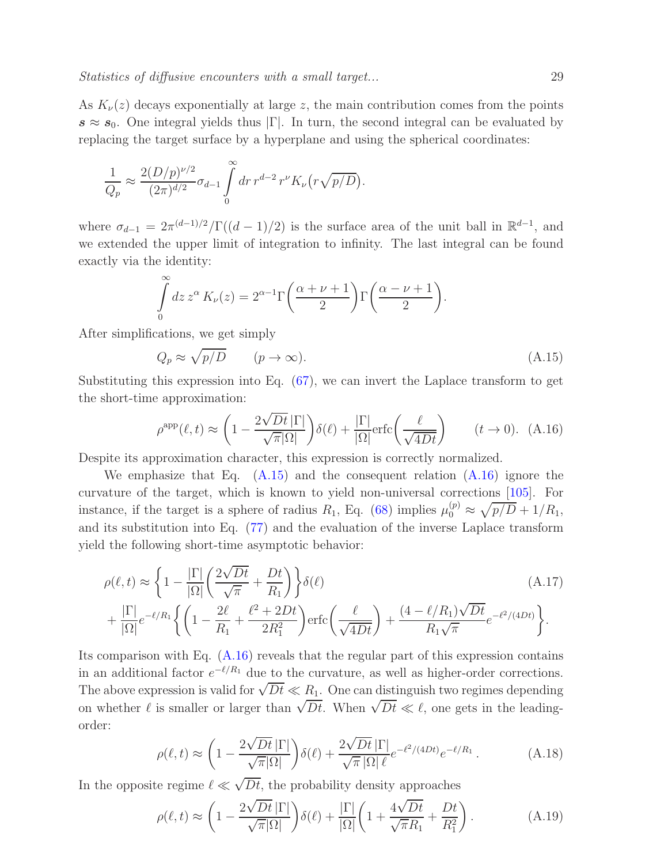As  $K_{\nu}(z)$  decays exponentially at large z, the main contribution comes from the points  $s \approx s_0$ . One integral yields thus  $|\Gamma|$ . In turn, the second integral can be evaluated by replacing the target surface by a hyperplane and using the spherical coordinates:

$$
\frac{1}{Q_p} \approx \frac{2(D/p)^{\nu/2}}{(2\pi)^{d/2}} \sigma_{d-1} \int\limits_{0}^{\infty} dr \, r^{d-2} \, r^{\nu} K_{\nu} \big( r \sqrt{p/D} \big).
$$

where  $\sigma_{d-1} = 2\pi^{(d-1)/2}/\Gamma((d-1)/2)$  is the surface area of the unit ball in  $\mathbb{R}^{d-1}$ , and we extended the upper limit of integration to infinity. The last integral can be found exactly via the identity:

$$
\int_{0}^{\infty} dz \, z^{\alpha} \, K_{\nu}(z) = 2^{\alpha - 1} \Gamma\left(\frac{\alpha + \nu + 1}{2}\right) \Gamma\left(\frac{\alpha - \nu + 1}{2}\right).
$$

After simplifications, we get simply

<span id="page-28-0"></span>
$$
Q_p \approx \sqrt{p/D} \qquad (p \to \infty). \tag{A.15}
$$

Substituting this expression into Eq. [\(67\)](#page-15-0), we can invert the Laplace transform to get the short-time approximation:

<span id="page-28-1"></span>
$$
\rho^{\rm app}(\ell, t) \approx \left(1 - \frac{2\sqrt{Dt} \, |\Gamma|}{\sqrt{\pi} |\Omega|}\right) \delta(\ell) + \frac{|\Gamma|}{|\Omega|} \text{erfc}\left(\frac{\ell}{\sqrt{4Dt}}\right) \qquad (t \to 0). \tag{A.16}
$$

Despite its approximation character, this expression is correctly normalized.

We emphasize that Eq.  $(A.15)$  and the consequent relation  $(A.16)$  ignore the curvature of the target, which is known to yield non-universal corrections [\[105\]](#page-33-1). For instance, if the target is a sphere of radius  $R_1$ , Eq. [\(68\)](#page-16-4) implies  $\mu_0^{(p)} \approx \sqrt{p/D} + 1/R_1$ , and its substitution into Eq. [\(77\)](#page-17-1) and the evaluation of the inverse Laplace transform yield the following short-time asymptotic behavior:

$$
\rho(\ell, t) \approx \left\{ 1 - \frac{|\Gamma|}{|\Omega|} \left( \frac{2\sqrt{Dt}}{\sqrt{\pi}} + \frac{Dt}{R_1} \right) \right\} \delta(\ell)
$$
\n
$$
+ \frac{|\Gamma|}{|\Omega|} e^{-\ell/R_1} \left\{ \left( 1 - \frac{2\ell}{R_1} + \frac{\ell^2 + 2Dt}{2R_1^2} \right) \text{erfc} \left( \frac{\ell}{\sqrt{4Dt}} \right) + \frac{(4 - \ell/R_1)\sqrt{Dt}}{R_1\sqrt{\pi}} e^{-\ell^2/(4Dt)} \right\}.
$$
\n(A.17)

Its comparison with Eq. [\(A.16\)](#page-28-1) reveals that the regular part of this expression contains in an additional factor  $e^{-\ell/R_1}$  due to the curvature, as well as higher-order corrections. The above expression is valid for  $\sqrt{Dt} \ll R_1$ . One can distinguish two regimes depending on whether  $\ell$  is smaller or larger than  $\sqrt{Dt}$ . When  $\sqrt{Dt} \ll \ell$ , one gets in the leadingorder:

$$
\rho(\ell, t) \approx \left(1 - \frac{2\sqrt{Dt} \left|\Gamma\right|}{\sqrt{\pi} |\Omega|}\right) \delta(\ell) + \frac{2\sqrt{Dt} \left|\Gamma\right|}{\sqrt{\pi} |\Omega| \ell} e^{-\ell^2/(4Dt)} e^{-\ell/R_1} \,. \tag{A.18}
$$

In the opposite regime  $\ell \ll \sqrt{Dt}$ , the probability density approaches

$$
\rho(\ell, t) \approx \left(1 - \frac{2\sqrt{Dt} \, |\Gamma|}{\sqrt{\pi} |\Omega|}\right) \delta(\ell) + \frac{|\Gamma|}{|\Omega|} \left(1 + \frac{4\sqrt{Dt}}{\sqrt{\pi} R_1} + \frac{Dt}{R_1^2}\right). \tag{A.19}
$$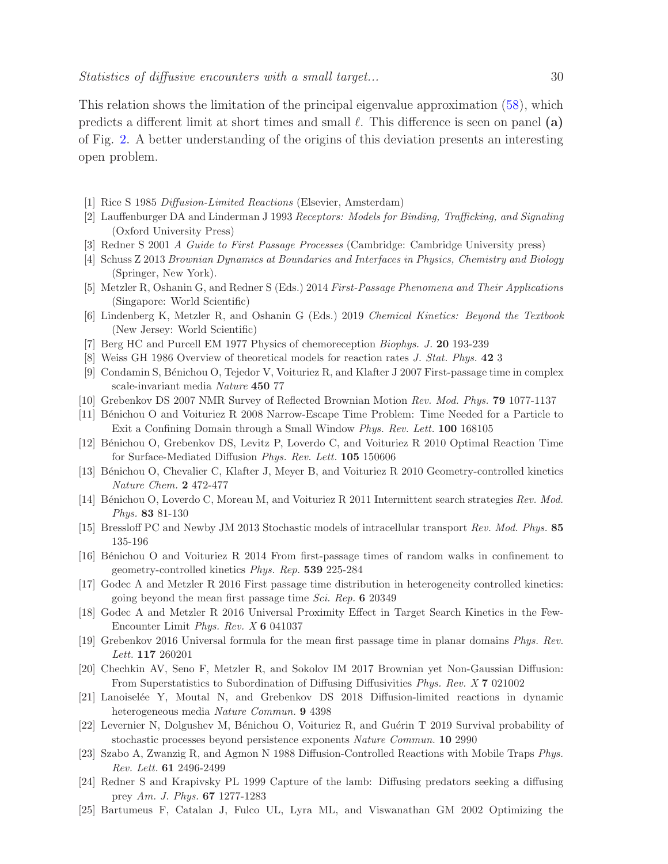This relation shows the limitation of the principal eigenvalue approximation [\(58\)](#page-13-0), which predicts a different limit at short times and small  $\ell$ . This difference is seen on panel (a) of Fig. [2.](#page-18-0) A better understanding of the origins of this deviation presents an interesting open problem.

- <span id="page-29-0"></span>[1] Rice S 1985 Diffusion-Limited Reactions (Elsevier, Amsterdam)
- [2] Lauffenburger DA and Linderman J 1993 Receptors: Models for Binding, Trafficking, and Signaling (Oxford University Press)
- [3] Redner S 2001 A Guide to First Passage Processes (Cambridge: Cambridge University press)
- [4] Schuss Z 2013 Brownian Dynamics at Boundaries and Interfaces in Physics, Chemistry and Biology (Springer, New York).
- [5] Metzler R, Oshanin G, and Redner S (Eds.) 2014 First-Passage Phenomena and Their Applications (Singapore: World Scientific)
- [6] Lindenberg K, Metzler R, and Oshanin G (Eds.) 2019 Chemical Kinetics: Beyond the Textbook (New Jersey: World Scientific)
- [7] Berg HC and Purcell EM 1977 Physics of chemoreception Biophys. J. 20 193-239
- [8] Weiss GH 1986 Overview of theoretical models for reaction rates J. Stat. Phys. 42 3
- [9] Condamin S, B´enichou O, Tejedor V, Voituriez R, and Klafter J 2007 First-passage time in complex scale-invariant media Nature 450 77
- [10] Grebenkov DS 2007 NMR Survey of Reflected Brownian Motion Rev. Mod. Phys. 79 1077-1137
- [11] Bénichou O and Voituriez R 2008 Narrow-Escape Time Problem: Time Needed for a Particle to Exit a Confining Domain through a Small Window Phys. Rev. Lett. 100 168105
- [12] Bénichou O, Grebenkov DS, Levitz P, Loverdo C, and Voituriez R 2010 Optimal Reaction Time for Surface-Mediated Diffusion Phys. Rev. Lett. 105 150606
- [13] Bénichou O, Chevalier C, Klafter J, Meyer B, and Voituriez R 2010 Geometry-controlled kinetics Nature Chem. 2 472-477
- [14] Bénichou O, Loverdo C, Moreau M, and Voituriez R 2011 Intermittent search strategies Rev. Mod. Phys. 83 81-130
- [15] Bressloff PC and Newby JM 2013 Stochastic models of intracellular transport Rev. Mod. Phys. 85 135-196
- [16] Bénichou O and Voituriez R 2014 From first-passage times of random walks in confinement to geometry-controlled kinetics Phys. Rep. 539 225-284
- [17] Godec A and Metzler R 2016 First passage time distribution in heterogeneity controlled kinetics: going beyond the mean first passage time Sci. Rep. 6 20349
- [18] Godec A and Metzler R 2016 Universal Proximity Effect in Target Search Kinetics in the Few-Encounter Limit Phys. Rev. X 6 041037
- [19] Grebenkov 2016 Universal formula for the mean first passage time in planar domains Phys. Rev. Lett. 117 260201
- [20] Chechkin AV, Seno F, Metzler R, and Sokolov IM 2017 Brownian yet Non-Gaussian Diffusion: From Superstatistics to Subordination of Diffusing Diffusivities Phys. Rev. X 7 021002
- [21] Lanoisel´ee Y, Moutal N, and Grebenkov DS 2018 Diffusion-limited reactions in dynamic heterogeneous media Nature Commun. 9 4398
- <span id="page-29-2"></span><span id="page-29-1"></span>[22] Levernier N, Dolgushev M, Bénichou O, Voituriez R, and Guérin T 2019 Survival probability of stochastic processes beyond persistence exponents Nature Commun. 10 2990
- [23] Szabo A, Zwanzig R, and Agmon N 1988 Diffusion-Controlled Reactions with Mobile Traps Phys. Rev. Lett. 61 2496-2499
- [24] Redner S and Krapivsky PL 1999 Capture of the lamb: Diffusing predators seeking a diffusing prey Am. J. Phys. 67 1277-1283
- [25] Bartumeus F, Catalan J, Fulco UL, Lyra ML, and Viswanathan GM 2002 Optimizing the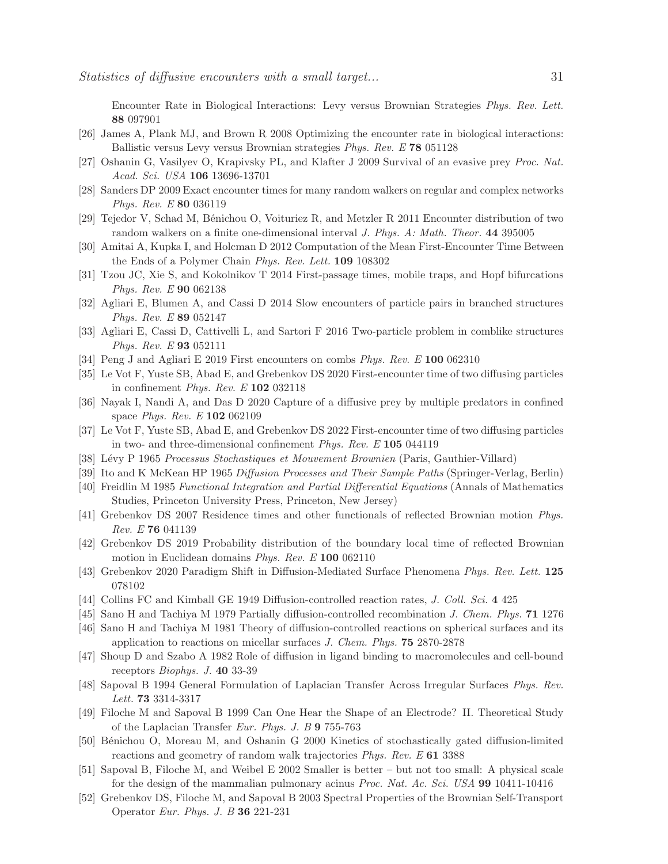Encounter Rate in Biological Interactions: Levy versus Brownian Strategies Phys. Rev. Lett. 88 097901

- [26] James A, Plank MJ, and Brown R 2008 Optimizing the encounter rate in biological interactions: Ballistic versus Levy versus Brownian strategies Phys. Rev. E 78 051128
- [27] Oshanin G, Vasilyev O, Krapivsky PL, and Klafter J 2009 Survival of an evasive prey Proc. Nat. Acad. Sci. USA 106 13696-13701
- [28] Sanders DP 2009 Exact encounter times for many random walkers on regular and complex networks Phys. Rev. E 80 036119
- [29] Tejedor V, Schad M, B´enichou O, Voituriez R, and Metzler R 2011 Encounter distribution of two random walkers on a finite one-dimensional interval *J. Phys. A: Math. Theor.* 44 395005
- [30] Amitai A, Kupka I, and Holcman D 2012 Computation of the Mean First-Encounter Time Between the Ends of a Polymer Chain Phys. Rev. Lett. 109 108302
- [31] Tzou JC, Xie S, and Kokolnikov T 2014 First-passage times, mobile traps, and Hopf bifurcations Phys. Rev. E 90 062138
- [32] Agliari E, Blumen A, and Cassi D 2014 Slow encounters of particle pairs in branched structures Phys. Rev. E 89 052147
- [33] Agliari E, Cassi D, Cattivelli L, and Sartori F 2016 Two-particle problem in comblike structures Phys. Rev. E 93 052111
- [34] Peng J and Agliari E 2019 First encounters on combs *Phys. Rev. E* 100 062310
- [35] Le Vot F, Yuste SB, Abad E, and Grebenkov DS 2020 First-encounter time of two diffusing particles in confinement *Phys. Rev. E*  $102$  032118
- <span id="page-30-0"></span>[36] Nayak I, Nandi A, and Das D 2020 Capture of a diffusive prey by multiple predators in confined space Phys. Rev. E 102 062109
- <span id="page-30-1"></span>[37] Le Vot F, Yuste SB, Abad E, and Grebenkov DS 2022 First-encounter time of two diffusing particles in two- and three-dimensional confinement Phys. Rev. E 105 044119
- <span id="page-30-6"></span>[38] L´evy P 1965 Processus Stochastiques et Mouvement Brownien (Paris, Gauthier-Villard)
- <span id="page-30-7"></span>[39] Ito and K McKean HP 1965 Diffusion Processes and Their Sample Paths (Springer-Verlag, Berlin)
- <span id="page-30-2"></span>[40] Freidlin M 1985 Functional Integration and Partial Differential Equations (Annals of Mathematics Studies, Princeton University Press, Princeton, New Jersey)
- <span id="page-30-3"></span>[41] Grebenkov DS 2007 Residence times and other functionals of reflected Brownian motion Phys. Rev. E 76 041139
- <span id="page-30-4"></span>[42] Grebenkov DS 2019 Probability distribution of the boundary local time of reflected Brownian motion in Euclidean domains Phys. Rev. E 100 062110
- <span id="page-30-5"></span>[43] Grebenkov 2020 Paradigm Shift in Diffusion-Mediated Surface Phenomena Phys. Rev. Lett. 125 078102
- [44] Collins FC and Kimball GE 1949 Diffusion-controlled reaction rates, J. Coll. Sci. 4 425
- [45] Sano H and Tachiya M 1979 Partially diffusion-controlled recombination J. Chem. Phys. 71 1276
- [46] Sano H and Tachiya M 1981 Theory of diffusion-controlled reactions on spherical surfaces and its application to reactions on micellar surfaces J. Chem. Phys. 75 2870-2878
- [47] Shoup D and Szabo A 1982 Role of diffusion in ligand binding to macromolecules and cell-bound receptors Biophys. J. 40 33-39
- [48] Sapoval B 1994 General Formulation of Laplacian Transfer Across Irregular Surfaces Phys. Rev. Lett. 73 3314-3317
- [49] Filoche M and Sapoval B 1999 Can One Hear the Shape of an Electrode? II. Theoretical Study of the Laplacian Transfer Eur. Phys. J. B 9 755-763
- [50] Bénichou O, Moreau M, and Oshanin G 2000 Kinetics of stochastically gated diffusion-limited reactions and geometry of random walk trajectories Phys. Rev. E 61 3388
- [51] Sapoval B, Filoche M, and Weibel E 2002 Smaller is better but not too small: A physical scale for the design of the mammalian pulmonary acinus Proc. Nat. Ac. Sci. USA 99 10411-10416
- [52] Grebenkov DS, Filoche M, and Sapoval B 2003 Spectral Properties of the Brownian Self-Transport Operator Eur. Phys. J. B 36 221-231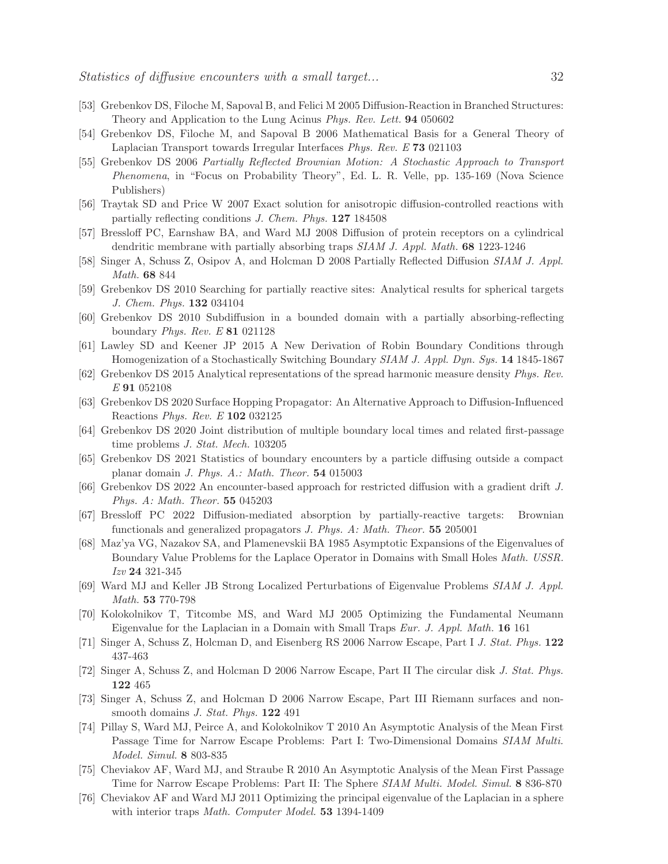- [53] Grebenkov DS, Filoche M, Sapoval B, and Felici M 2005 Diffusion-Reaction in Branched Structures: Theory and Application to the Lung Acinus Phys. Rev. Lett. 94 050602
- [54] Grebenkov DS, Filoche M, and Sapoval B 2006 Mathematical Basis for a General Theory of Laplacian Transport towards Irregular Interfaces Phys. Rev. E 73 021103
- [55] Grebenkov DS 2006 Partially Reflected Brownian Motion: A Stochastic Approach to Transport Phenomena, in "Focus on Probability Theory", Ed. L. R. Velle, pp. 135-169 (Nova Science Publishers)
- [56] Traytak SD and Price W 2007 Exact solution for anisotropic diffusion-controlled reactions with partially reflecting conditions J. Chem. Phys. 127 184508
- [57] Bressloff PC, Earnshaw BA, and Ward MJ 2008 Diffusion of protein receptors on a cylindrical dendritic membrane with partially absorbing traps SIAM J. Appl. Math. 68 1223-1246
- [58] Singer A, Schuss Z, Osipov A, and Holcman D 2008 Partially Reflected Diffusion SIAM J. Appl. Math. 68 844
- [59] Grebenkov DS 2010 Searching for partially reactive sites: Analytical results for spherical targets J. Chem. Phys. 132 034104
- [60] Grebenkov DS 2010 Subdiffusion in a bounded domain with a partially absorbing-reflecting boundary Phys. Rev. E 81 021128
- <span id="page-31-0"></span>[61] Lawley SD and Keener JP 2015 A New Derivation of Robin Boundary Conditions through Homogenization of a Stochastically Switching Boundary SIAM J. Appl. Dyn. Sys. 14 1845-1867
- <span id="page-31-1"></span>[62] Grebenkov DS 2015 Analytical representations of the spread harmonic measure density Phys. Rev. E 91 052108
- [63] Grebenkov DS 2020 Surface Hopping Propagator: An Alternative Approach to Diffusion-Influenced Reactions Phys. Rev. E 102 032125
- <span id="page-31-5"></span>[64] Grebenkov DS 2020 Joint distribution of multiple boundary local times and related first-passage time problems J. Stat. Mech. 103205
- [65] Grebenkov DS 2021 Statistics of boundary encounters by a particle diffusing outside a compact planar domain J. Phys. A.: Math. Theor. 54 015003
- <span id="page-31-2"></span>[66] Grebenkov DS 2022 An encounter-based approach for restricted diffusion with a gradient drift J. Phys. A: Math. Theor. 55 045203
- [67] Bressloff PC 2022 Diffusion-mediated absorption by partially-reactive targets: Brownian functionals and generalized propagators J. Phys. A: Math. Theor. 55 205001
- <span id="page-31-3"></span>[68] Maz'ya VG, Nazakov SA, and Plamenevskii BA 1985 Asymptotic Expansions of the Eigenvalues of Boundary Value Problems for the Laplace Operator in Domains with Small Holes Math. USSR. Izv 24 321-345
- <span id="page-31-6"></span>[69] Ward MJ and Keller JB Strong Localized Perturbations of Eigenvalue Problems SIAM J. Appl. Math. 53 770-798
- [70] Kolokolnikov T, Titcombe MS, and Ward MJ 2005 Optimizing the Fundamental Neumann Eigenvalue for the Laplacian in a Domain with Small Traps Eur. J. Appl. Math. 16 161
- [71] Singer A, Schuss Z, Holcman D, and Eisenberg RS 2006 Narrow Escape, Part I J. Stat. Phys. 122 437-463
- [72] Singer A, Schuss Z, and Holcman D 2006 Narrow Escape, Part II The circular disk J. Stat. Phys. 122 465
- [73] Singer A, Schuss Z, and Holcman D 2006 Narrow Escape, Part III Riemann surfaces and nonsmooth domains J. Stat. Phys. 122 491
- [74] Pillay S, Ward MJ, Peirce A, and Kolokolnikov T 2010 An Asymptotic Analysis of the Mean First Passage Time for Narrow Escape Problems: Part I: Two-Dimensional Domains SIAM Multi. Model. Simul. 8 803-835
- [75] Cheviakov AF, Ward MJ, and Straube R 2010 An Asymptotic Analysis of the Mean First Passage Time for Narrow Escape Problems: Part II: The Sphere SIAM Multi. Model. Simul. 8 836-870
- <span id="page-31-4"></span>[76] Cheviakov AF and Ward MJ 2011 Optimizing the principal eigenvalue of the Laplacian in a sphere with interior traps *Math. Computer Model*. **53** 1394-1409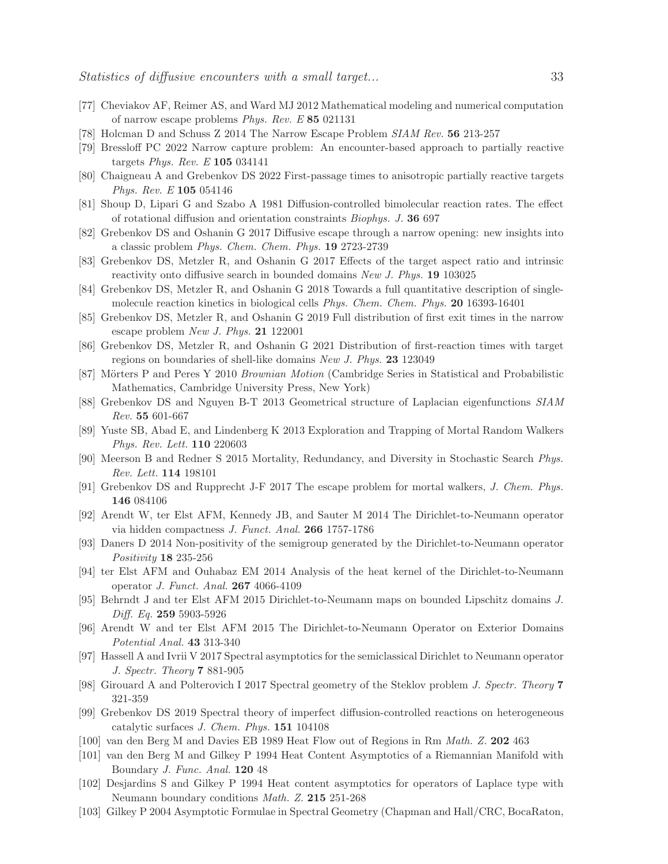- <span id="page-32-1"></span><span id="page-32-0"></span>[77] Cheviakov AF, Reimer AS, and Ward MJ 2012 Mathematical modeling and numerical computation of narrow escape problems Phys. Rev. E 85 021131
- <span id="page-32-2"></span>[78] Holcman D and Schuss Z 2014 The Narrow Escape Problem SIAM Rev. 56 213-257
- <span id="page-32-3"></span>[79] Bressloff PC 2022 Narrow capture problem: An encounter-based approach to partially reactive targets Phys. Rev. E 105 034141
- <span id="page-32-4"></span>[80] Chaigneau A and Grebenkov DS 2022 First-passage times to anisotropic partially reactive targets Phys. Rev. E 105 054146
- <span id="page-32-5"></span>[81] Shoup D, Lipari G and Szabo A 1981 Diffusion-controlled bimolecular reaction rates. The effect of rotational diffusion and orientation constraints Biophys. J. 36 697
- [82] Grebenkov DS and Oshanin G 2017 Diffusive escape through a narrow opening: new insights into a classic problem Phys. Chem. Chem. Phys. 19 2723-2739
- [83] Grebenkov DS, Metzler R, and Oshanin G 2017 Effects of the target aspect ratio and intrinsic reactivity onto diffusive search in bounded domains New J. Phys. **19** 103025
- [84] Grebenkov DS, Metzler R, and Oshanin G 2018 Towards a full quantitative description of singlemolecule reaction kinetics in biological cells Phys. Chem. Chem. Phys. 20 16393-16401
- <span id="page-32-6"></span>[85] Grebenkov DS, Metzler R, and Oshanin G 2019 Full distribution of first exit times in the narrow escape problem New J. Phys. 21 122001
- <span id="page-32-7"></span>[86] Grebenkov DS, Metzler R, and Oshanin G 2021 Distribution of first-reaction times with target regions on boundaries of shell-like domains New J. Phys. 23 123049
- <span id="page-32-8"></span>[87] Mörters P and Peres Y 2010 Brownian Motion (Cambridge Series in Statistical and Probabilistic Mathematics, Cambridge University Press, New York)
- <span id="page-32-9"></span>[88] Grebenkov DS and Nguyen B-T 2013 Geometrical structure of Laplacian eigenfunctions SIAM Rev. 55 601-667
- [89] Yuste SB, Abad E, and Lindenberg K 2013 Exploration and Trapping of Mortal Random Walkers Phys. Rev. Lett. 110 220603
- <span id="page-32-10"></span>[90] Meerson B and Redner S 2015 Mortality, Redundancy, and Diversity in Stochastic Search Phys. Rev. Lett. 114 198101
- <span id="page-32-11"></span>[91] Grebenkov DS and Rupprecht J-F 2017 The escape problem for mortal walkers, J. Chem. Phys. 146 084106
- [92] Arendt W, ter Elst AFM, Kennedy JB, and Sauter M 2014 The Dirichlet-to-Neumann operator via hidden compactness J. Funct. Anal. 266 1757-1786
- [93] Daners D 2014 Non-positivity of the semigroup generated by the Dirichlet-to-Neumann operator Positivity 18 235-256
- [94] ter Elst AFM and Ouhabaz EM 2014 Analysis of the heat kernel of the Dirichlet-to-Neumann operator J. Funct. Anal. 267 4066-4109
- [95] Behrndt J and ter Elst AFM 2015 Dirichlet-to-Neumann maps on bounded Lipschitz domains J. Diff. Eq. 259 5903-5926
- [96] Arendt W and ter Elst AFM 2015 The Dirichlet-to-Neumann Operator on Exterior Domains Potential Anal. 43 313-340
- [97] Hassell A and Ivrii V 2017 Spectral asymptotics for the semiclassical Dirichlet to Neumann operator J. Spectr. Theory 7 881-905
- <span id="page-32-13"></span><span id="page-32-12"></span>[98] Girouard A and Polterovich I 2017 Spectral geometry of the Steklov problem J. Spectr. Theory 7 321-359
- [99] Grebenkov DS 2019 Spectral theory of imperfect diffusion-controlled reactions on heterogeneous catalytic surfaces J. Chem. Phys. 151 104108
- <span id="page-32-14"></span>[100] van den Berg M and Davies EB 1989 Heat Flow out of Regions in Rm Math. Z. 202 463
- [101] van den Berg M and Gilkey P 1994 Heat Content Asymptotics of a Riemannian Manifold with Boundary J. Func. Anal. 120 48
- [102] Desjardins S and Gilkey P 1994 Heat content asymptotics for operators of Laplace type with Neumann boundary conditions Math. Z. 215 251-268
- <span id="page-32-15"></span>[103] Gilkey P 2004 Asymptotic Formulae in Spectral Geometry (Chapman and Hall/CRC, BocaRaton,